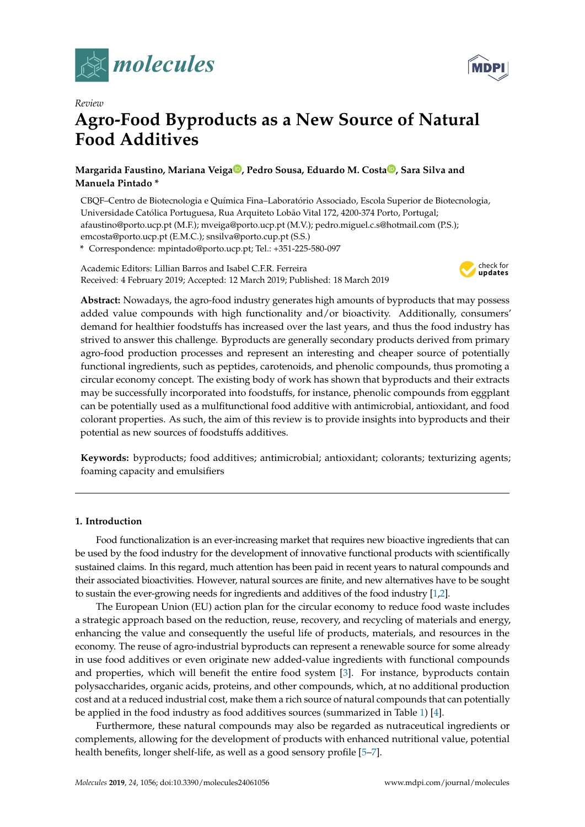



# *Review* **Agro-Food Byproducts as a New Source of Natural Food Additives**

# **Margarida Faustino, Mariana Veig[a](https://orcid.org/0000-0002-1815-3270) , Pedro Sousa, Eduardo M. Costa [,](https://orcid.org/0000-0003-3121-4514) Sara Silva and Manuela Pintado \***

CBQF–Centro de Biotecnologia e Química Fina–Laboratório Associado, Escola Superior de Biotecnologia, Universidade Católica Portuguesa, Rua Arquiteto Lobão Vital 172, 4200-374 Porto, Portugal; afaustino@porto.ucp.pt (M.F.); mveiga@porto.ucp.pt (M.V.); pedro.miguel.c.s@hotmail.com (P.S.); emcosta@porto.ucp.pt (E.M.C.); snsilva@porto.cup.pt (S.S.)

**\*** Correspondence: mpintado@porto.ucp.pt; Tel.: +351-225-580-097

Academic Editors: Lillian Barros and Isabel C.F.R. Ferreira Received: 4 February 2019; Accepted: 12 March 2019; Published: 18 March 2019



**Abstract:** Nowadays, the agro-food industry generates high amounts of byproducts that may possess added value compounds with high functionality and/or bioactivity. Additionally, consumers' demand for healthier foodstuffs has increased over the last years, and thus the food industry has strived to answer this challenge. Byproducts are generally secondary products derived from primary agro-food production processes and represent an interesting and cheaper source of potentially functional ingredients, such as peptides, carotenoids, and phenolic compounds, thus promoting a circular economy concept. The existing body of work has shown that byproducts and their extracts may be successfully incorporated into foodstuffs, for instance, phenolic compounds from eggplant can be potentially used as a mulfitunctional food additive with antimicrobial, antioxidant, and food colorant properties. As such, the aim of this review is to provide insights into byproducts and their potential as new sources of foodstuffs additives.

**Keywords:** byproducts; food additives; antimicrobial; antioxidant; colorants; texturizing agents; foaming capacity and emulsifiers

# **1. Introduction**

Food functionalization is an ever-increasing market that requires new bioactive ingredients that can be used by the food industry for the development of innovative functional products with scientifically sustained claims. In this regard, much attention has been paid in recent years to natural compounds and their associated bioactivities. However, natural sources are finite, and new alternatives have to be sought to sustain the ever-growing needs for ingredients and additives of the food industry [\[1,](#page-12-0)[2\]](#page-12-1).

The European Union (EU) action plan for the circular economy to reduce food waste includes a strategic approach based on the reduction, reuse, recovery, and recycling of materials and energy, enhancing the value and consequently the useful life of products, materials, and resources in the economy. The reuse of agro-industrial byproducts can represent a renewable source for some already in use food additives or even originate new added-value ingredients with functional compounds and properties, which will benefit the entire food system [\[3\]](#page-12-2). For instance, byproducts contain polysaccharides, organic acids, proteins, and other compounds, which, at no additional production cost and at a reduced industrial cost, make them a rich source of natural compounds that can potentially be applied in the food industry as food additives sources (summarized in Table [1\)](#page-2-0) [\[4\]](#page-12-3).

Furthermore, these natural compounds may also be regarded as nutraceutical ingredients or complements, allowing for the development of products with enhanced nutritional value, potential health benefits, longer shelf-life, as well as a good sensory profile [\[5](#page-12-4)[–7\]](#page-12-5).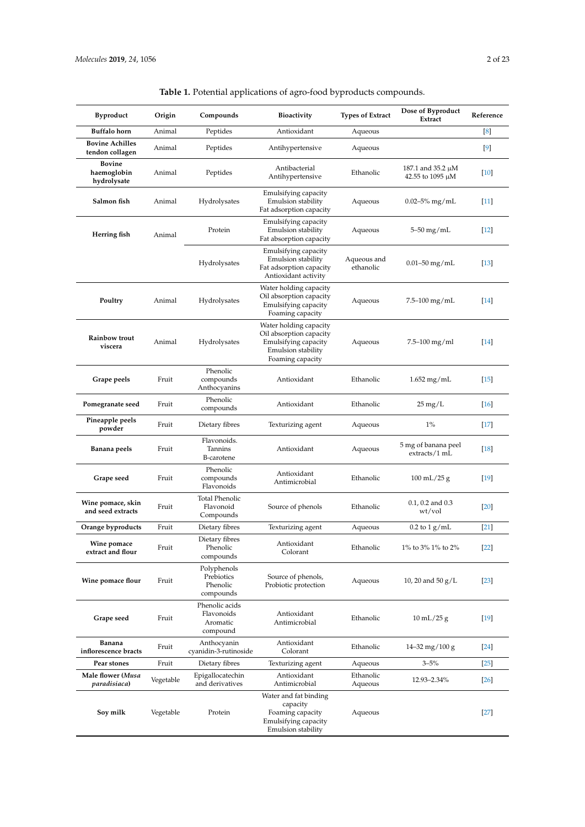| Byproduct                                   | Origin    | Compounds                                            | <b>Bioactivity</b>                                                                                                  | <b>Types of Extract</b>  | Dose of Byproduct<br>Extract               | Reference |
|---------------------------------------------|-----------|------------------------------------------------------|---------------------------------------------------------------------------------------------------------------------|--------------------------|--------------------------------------------|-----------|
| <b>Buffalo</b> horn                         | Animal    | Peptides                                             | Antioxidant                                                                                                         | Aqueous                  |                                            | [8]       |
| <b>Bovine Achilles</b><br>tendon collagen   | Animal    | Peptides                                             | Antihypertensive                                                                                                    | Aqueous                  |                                            | $[9]$     |
| <b>Bovine</b><br>haemoglobin<br>hydrolysate | Animal    | Peptides                                             | Antibacterial<br>Antihypertensive                                                                                   | Ethanolic                | 187.1 and 35.2 µM<br>42.55 to 1095 $\mu$ M | $[10]$    |
| Salmon fish                                 | Animal    | Hydrolysates                                         | Emulsifying capacity<br>Emulsion stability<br>Fat adsorption capacity                                               | Aqueous                  | $0.02 - 5\%$ mg/mL                         | $[11]$    |
| Herring fish                                | Animal    | Protein                                              | Emulsifying capacity<br>Emulsion stability<br>Fat absorption capacity                                               | Aqueous                  | 5–50 mg/mL                                 | $[12]$    |
|                                             |           | Hydrolysates                                         | Emulsifying capacity<br>Emulsion stability<br>Fat adsorption capacity<br>Antioxidant activity                       | Aqueous and<br>ethanolic | $0.01 - 50$ mg/mL                          | $[13]$    |
| Poultry                                     | Animal    | Hydrolysates                                         | Water holding capacity<br>Oil absorption capacity<br>Emulsifying capacity<br>Foaming capacity                       | Aqueous                  | 7.5–100 mg/mL                              | [14]      |
| Rainbow trout<br>viscera                    | Animal    | Hydrolysates                                         | Water holding capacity<br>Oil absorption capacity<br>Emulsifying capacity<br>Emulsion stability<br>Foaming capacity | Aqueous                  | $7.5 - 100$ mg/ml                          | $[14]$    |
| Grape peels                                 | Fruit     | Phenolic<br>compounds<br>Anthocyanins                | Antioxidant                                                                                                         | Ethanolic                | $1.652$ mg/mL                              | $[15]$    |
| Pomegranate seed                            | Fruit     | Phenolic<br>compounds                                | Antioxidant                                                                                                         | Ethanolic                | $25 \,\mathrm{mg/L}$                       | $[16]$    |
| Pineapple peels<br>powder                   | Fruit     | Dietary fibres                                       | Texturizing agent                                                                                                   | Aqueous                  | $1\%$                                      | $[17]$    |
| Banana peels                                | Fruit     | Flavonoids.<br>Tannins<br>B-carotene                 | Antioxidant                                                                                                         | Aqueous                  | 5 mg of banana peel<br>extracts/1 mL       | $[18]$    |
| Grape seed                                  | Fruit     | Phenolic<br>compounds<br>Flavonoids                  | Antioxidant<br>Antimicrobial                                                                                        | Ethanolic                | $100 \text{ mL} / 25 \text{ g}$            | $[19]$    |
| Wine pomace, skin<br>and seed extracts      | Fruit     | <b>Total Phenolic</b><br>Flavonoid<br>Compounds      | Source of phenols                                                                                                   | Ethanolic                | $0.1, 0.2$ and $0.3$<br>wt/vol             | $[20]$    |
| Orange byproducts                           | Fruit     | Dietary fibres                                       | Texturizing agent                                                                                                   | Aqueous                  | $0.2$ to $1$ g/mL                          | $[21]$    |
| Wine pomace<br>extract and flour            | Fruit     | Dietary fibres<br>Phenolic<br>compounds              | Antioxidant<br>Colorant                                                                                             | Ethanolic                | 1% to 3% 1% to 2%                          | $[22]$    |
| Wine pomace flour                           | Fruit     | Polyphenols<br>Prebiotics<br>Phenolic<br>compounds   | Source of phenols,<br>Probiotic protection                                                                          | Aqueous                  | 10, 20 and 50 $g/L$                        | $[23]$    |
| Grape seed                                  | Fruit     | Phenolic acids<br>Flavonoids<br>Aromatic<br>compound | Antioxidant<br>Antimicrobial                                                                                        | Ethanolic                | $10 \text{ mL}/25 \text{ g}$               | $[19]$    |
| Banana<br>inflorescence bracts              | Fruit     | Anthocyanin<br>cyanidin-3-rutinoside                 | Antioxidant<br>Colorant                                                                                             | Ethanolic                | $14 - 32$ mg/ $100$ g                      | $[24]$    |
| Pear stones                                 | Fruit     | Dietary fibres                                       | Texturizing agent                                                                                                   | Aqueous                  | $3 - 5\%$                                  | $[25]$    |
| Male flower (Musa<br>paradisiaca)           | Vegetable | Epigallocatechin<br>and derivatives                  | Antioxidant<br>Antimicrobial                                                                                        | Ethanolic<br>Aqueous     | 12.93–2.34%                                | $[26]$    |
| Soy milk                                    | Vegetable | Protein                                              | Water and fat binding<br>capacity<br>Foaming capacity<br>Emulsifying capacity<br>Emulsion stability                 | Aqueous                  |                                            | $[27]$    |

| <b>Table 1.</b> Potential applications of agro-food byproducts compounds. |  |
|---------------------------------------------------------------------------|--|
|---------------------------------------------------------------------------|--|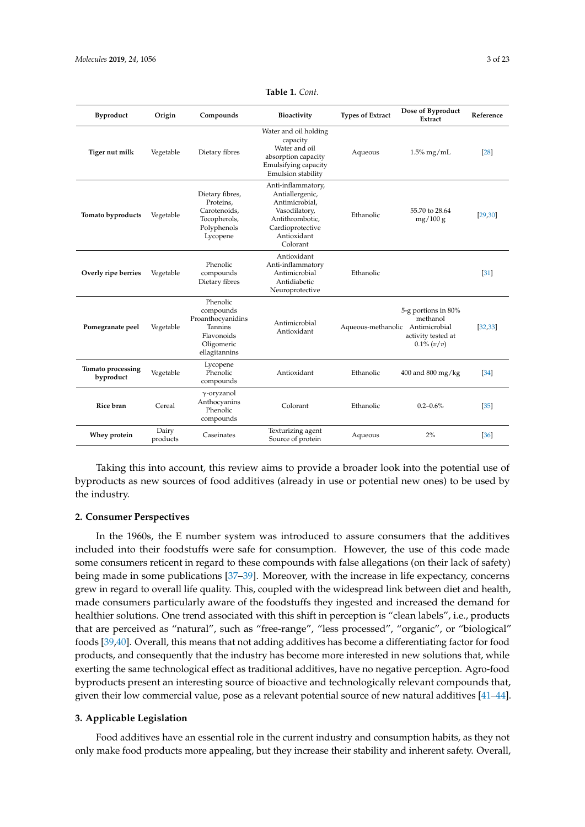<span id="page-2-0"></span>

| <b>Byproduct</b>               | Origin            | Compounds                                                                                          | Bioactivity                                                                                                                                | <b>Types of Extract</b>          | Dose of Byproduct<br>Extract                                           | Reference |
|--------------------------------|-------------------|----------------------------------------------------------------------------------------------------|--------------------------------------------------------------------------------------------------------------------------------------------|----------------------------------|------------------------------------------------------------------------|-----------|
| Tiger nut milk                 | Vegetable         | Dietary fibres                                                                                     | Water and oil holding<br>capacity<br>Water and oil<br>absorption capacity<br>Emulsifying capacity<br>Emulsion stability                    | Aqueous                          | $1.5\%$ mg/mL                                                          | [28]      |
| Tomato byproducts              | Vegetable         | Dietary fibres,<br>Proteins.<br>Carotenoids.<br>Tocopherols,<br>Polyphenols<br>Lycopene            | Anti-inflammatory,<br>Antiallergenic,<br>Antimicrobial.<br>Vasodilatory,<br>Antithrombotic.<br>Cardioprotective<br>Antioxidant<br>Colorant | Ethanolic                        | 55.70 to 28.64<br>mg/100 g                                             | [29, 30]  |
| Overly ripe berries            | Vegetable         | Phenolic<br>compounds<br>Dietary fibres                                                            | Antioxidant<br>Anti-inflammatory<br>Antimicrobial<br>Antidiabetic<br>Neuroprotective                                                       | Ethanolic                        |                                                                        | [31]      |
| Pomegranate peel               | Vegetable         | Phenolic<br>compounds<br>Proanthocyanidins<br>Tannins<br>Flavonoids<br>Oligomeric<br>ellagitannins | Antimicrobial<br>Antioxidant                                                                                                               | Aqueous-methanolic Antimicrobial | 5-g portions in 80%<br>methanol<br>activity tested at<br>$0.1\% (v/v)$ | [32, 33]  |
| Tomato processing<br>byproduct | Vegetable         | Lycopene<br>Phenolic<br>compounds                                                                  | Antioxidant                                                                                                                                | Ethanolic                        | $400$ and $800$ mg/kg                                                  | $[34]$    |
| Rice bran                      | Cereal            | $\gamma$ -oryzanol<br>Anthocyanins<br>Phenolic<br>compounds                                        | Colorant                                                                                                                                   | Ethanolic                        | $0.2 - 0.6\%$                                                          | $[35]$    |
| Whey protein                   | Dairy<br>products | Caseinates                                                                                         | Texturizing agent<br>Source of protein                                                                                                     | Aqueous                          | 2%                                                                     | [36]      |

**Table 1.** *Cont.*

Taking this into account, this review aims to provide a broader look into the potential use of byproducts as new sources of food additives (already in use or potential new ones) to be used by the industry.

## **2. Consumer Perspectives**

In the 1960s, the E number system was introduced to assure consumers that the additives included into their foodstuffs were safe for consumption. However, the use of this code made some consumers reticent in regard to these compounds with false allegations (on their lack of safety) being made in some publications [\[37](#page-14-4)[–39\]](#page-14-5). Moreover, with the increase in life expectancy, concerns grew in regard to overall life quality. This, coupled with the widespread link between diet and health, made consumers particularly aware of the foodstuffs they ingested and increased the demand for healthier solutions. One trend associated with this shift in perception is "clean labels", i.e., products that are perceived as "natural", such as "free-range", "less processed", "organic", or "biological" foods [\[39](#page-14-5)[,40\]](#page-14-6). Overall, this means that not adding additives has become a differentiating factor for food products, and consequently that the industry has become more interested in new solutions that, while exerting the same technological effect as traditional additives, have no negative perception. Agro-food byproducts present an interesting source of bioactive and technologically relevant compounds that, given their low commercial value, pose as a relevant potential source of new natural additives [\[41–](#page-14-7)[44\]](#page-14-8).

# **3. Applicable Legislation**

Food additives have an essential role in the current industry and consumption habits, as they not only make food products more appealing, but they increase their stability and inherent safety. Overall,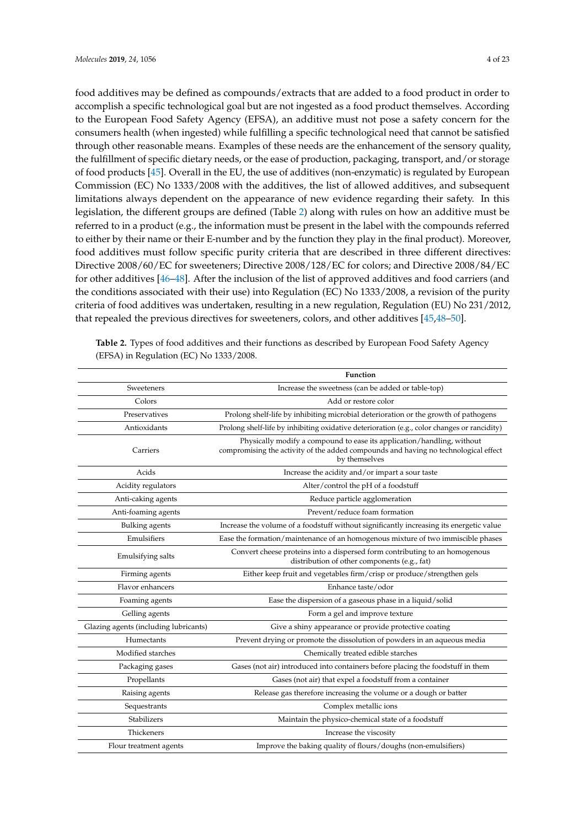food additives may be defined as compounds/extracts that are added to a food product in order to accomplish a specific technological goal but are not ingested as a food product themselves. According to the European Food Safety Agency (EFSA), an additive must not pose a safety concern for the consumers health (when ingested) while fulfilling a specific technological need that cannot be satisfied through other reasonable means. Examples of these needs are the enhancement of the sensory quality, the fulfillment of specific dietary needs, or the ease of production, packaging, transport, and/or storage of food products [\[45\]](#page-14-9). Overall in the EU, the use of additives (non-enzymatic) is regulated by European Commission (EC) No 1333/2008 with the additives, the list of allowed additives, and subsequent limitations always dependent on the appearance of new evidence regarding their safety. In this legislation, the different groups are defined (Table [2\)](#page-3-0) along with rules on how an additive must be referred to in a product (e.g., the information must be present in the label with the compounds referred to either by their name or their E-number and by the function they play in the final product). Moreover, food additives must follow specific purity criteria that are described in three different directives: Directive 2008/60/EC for sweeteners; Directive 2008/128/EC for colors; and Directive 2008/84/EC for other additives [\[46–](#page-14-10)[48\]](#page-14-11). After the inclusion of the list of approved additives and food carriers (and the conditions associated with their use) into Regulation (EC) No 1333/2008, a revision of the purity criteria of food additives was undertaken, resulting in a new regulation, Regulation (EU) No 231/2012, that repealed the previous directives for sweeteners, colors, and other additives [\[45](#page-14-9)[,48–](#page-14-11)[50\]](#page-14-12).

<span id="page-3-0"></span>

| Table 2. Types of food additives and their functions as described by European Food Safety Agency |  |
|--------------------------------------------------------------------------------------------------|--|
| (EFSA) in Regulation (EC) No 1333/2008.                                                          |  |

|                                       | Function                                                                                                                                                                       |
|---------------------------------------|--------------------------------------------------------------------------------------------------------------------------------------------------------------------------------|
| Sweeteners                            | Increase the sweetness (can be added or table-top)                                                                                                                             |
| Colors                                | Add or restore color                                                                                                                                                           |
| Preservatives                         | Prolong shelf-life by inhibiting microbial deterioration or the growth of pathogens                                                                                            |
| Antioxidants                          | Prolong shelf-life by inhibiting oxidative deterioration (e.g., color changes or rancidity)                                                                                    |
| Carriers                              | Physically modify a compound to ease its application/handling, without<br>compromising the activity of the added compounds and having no technological effect<br>by themselves |
| Acids                                 | Increase the acidity and/or impart a sour taste                                                                                                                                |
| Acidity regulators                    | Alter/control the pH of a foodstuff                                                                                                                                            |
| Anti-caking agents                    | Reduce particle agglomeration                                                                                                                                                  |
| Anti-foaming agents                   | Prevent/reduce foam formation                                                                                                                                                  |
| <b>Bulking</b> agents                 | Increase the volume of a foodstuff without significantly increasing its energetic value                                                                                        |
| Emulsifiers                           | Ease the formation/maintenance of an homogenous mixture of two immiscible phases                                                                                               |
| Emulsifying salts                     | Convert cheese proteins into a dispersed form contributing to an homogenous<br>distribution of other components (e.g., fat)                                                    |
| Firming agents                        | Either keep fruit and vegetables firm/crisp or produce/strengthen gels                                                                                                         |
| Flavor enhancers                      | Enhance taste/odor                                                                                                                                                             |
| Foaming agents                        | Ease the dispersion of a gaseous phase in a liquid/solid                                                                                                                       |
| Gelling agents                        | Form a gel and improve texture                                                                                                                                                 |
| Glazing agents (including lubricants) | Give a shiny appearance or provide protective coating                                                                                                                          |
| Humectants                            | Prevent drying or promote the dissolution of powders in an aqueous media                                                                                                       |
| Modified starches                     | Chemically treated edible starches                                                                                                                                             |
| Packaging gases                       | Gases (not air) introduced into containers before placing the foodstuff in them                                                                                                |
| Propellants                           | Gases (not air) that expel a foodstuff from a container                                                                                                                        |
| Raising agents                        | Release gas therefore increasing the volume or a dough or batter                                                                                                               |
| Sequestrants                          | Complex metallic ions                                                                                                                                                          |
| Stabilizers                           | Maintain the physico-chemical state of a foodstuff                                                                                                                             |
| Thickeners                            | Increase the viscosity                                                                                                                                                         |
| Flour treatment agents                | Improve the baking quality of flours/doughs (non-emulsifiers)                                                                                                                  |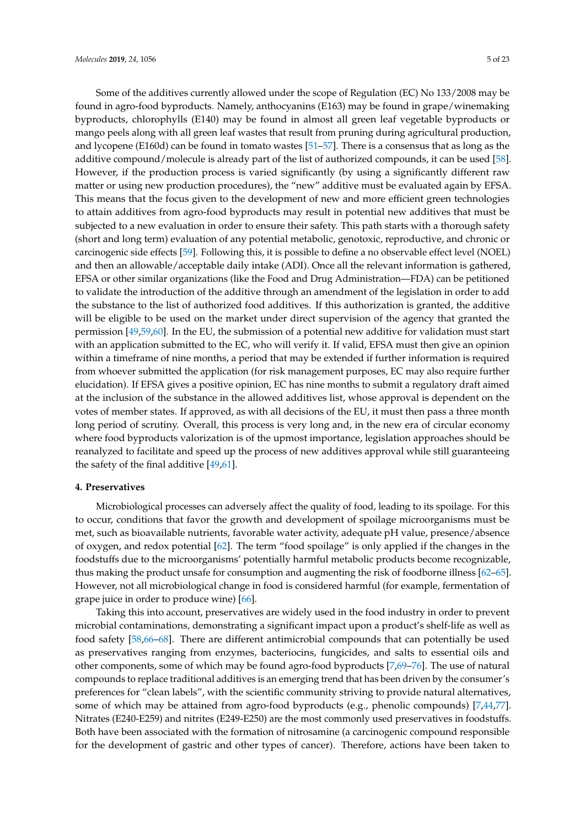Some of the additives currently allowed under the scope of Regulation (EC) No 133/2008 may be found in agro-food byproducts. Namely, anthocyanins (E163) may be found in grape/winemaking byproducts, chlorophylls (E140) may be found in almost all green leaf vegetable byproducts or mango peels along with all green leaf wastes that result from pruning during agricultural production, and lycopene (E160d) can be found in tomato wastes [\[51–](#page-14-13)[57\]](#page-15-0). There is a consensus that as long as the additive compound/molecule is already part of the list of authorized compounds, it can be used [\[58\]](#page-15-1). However, if the production process is varied significantly (by using a significantly different raw matter or using new production procedures), the "new" additive must be evaluated again by EFSA. This means that the focus given to the development of new and more efficient green technologies to attain additives from agro-food byproducts may result in potential new additives that must be subjected to a new evaluation in order to ensure their safety. This path starts with a thorough safety (short and long term) evaluation of any potential metabolic, genotoxic, reproductive, and chronic or carcinogenic side effects [\[59\]](#page-15-2). Following this, it is possible to define a no observable effect level (NOEL) and then an allowable/acceptable daily intake (ADI). Once all the relevant information is gathered, EFSA or other similar organizations (like the Food and Drug Administration—FDA) can be petitioned to validate the introduction of the additive through an amendment of the legislation in order to add the substance to the list of authorized food additives. If this authorization is granted, the additive will be eligible to be used on the market under direct supervision of the agency that granted the permission [\[49,](#page-14-14)[59](#page-15-2)[,60\]](#page-15-3). In the EU, the submission of a potential new additive for validation must start with an application submitted to the EC, who will verify it. If valid, EFSA must then give an opinion within a timeframe of nine months, a period that may be extended if further information is required from whoever submitted the application (for risk management purposes, EC may also require further elucidation). If EFSA gives a positive opinion, EC has nine months to submit a regulatory draft aimed at the inclusion of the substance in the allowed additives list, whose approval is dependent on the votes of member states. If approved, as with all decisions of the EU, it must then pass a three month long period of scrutiny. Overall, this process is very long and, in the new era of circular economy where food byproducts valorization is of the upmost importance, legislation approaches should be reanalyzed to facilitate and speed up the process of new additives approval while still guaranteeing the safety of the final additive [\[49,](#page-14-14)[61\]](#page-15-4).

# **4. Preservatives**

Microbiological processes can adversely affect the quality of food, leading to its spoilage. For this to occur, conditions that favor the growth and development of spoilage microorganisms must be met, such as bioavailable nutrients, favorable water activity, adequate pH value, presence/absence of oxygen, and redox potential [\[62\]](#page-15-5). The term "food spoilage" is only applied if the changes in the foodstuffs due to the microorganisms' potentially harmful metabolic products become recognizable, thus making the product unsafe for consumption and augmenting the risk of foodborne illness [\[62–](#page-15-5)[65\]](#page-15-6). However, not all microbiological change in food is considered harmful (for example, fermentation of grape juice in order to produce wine) [\[66\]](#page-15-7).

Taking this into account, preservatives are widely used in the food industry in order to prevent microbial contaminations, demonstrating a significant impact upon a product's shelf-life as well as food safety [\[58,](#page-15-1)[66](#page-15-7)[–68\]](#page-15-8). There are different antimicrobial compounds that can potentially be used as preservatives ranging from enzymes, bacteriocins, fungicides, and salts to essential oils and other components, some of which may be found agro-food byproducts [\[7,](#page-12-5)[69](#page-15-9)[–76\]](#page-15-10). The use of natural compounds to replace traditional additives is an emerging trend that has been driven by the consumer's preferences for "clean labels", with the scientific community striving to provide natural alternatives, some of which may be attained from agro-food byproducts (e.g., phenolic compounds) [\[7,](#page-12-5)[44,](#page-14-8)[77\]](#page-15-11). Nitrates (E240-E259) and nitrites (E249-E250) are the most commonly used preservatives in foodstuffs. Both have been associated with the formation of nitrosamine (a carcinogenic compound responsible for the development of gastric and other types of cancer). Therefore, actions have been taken to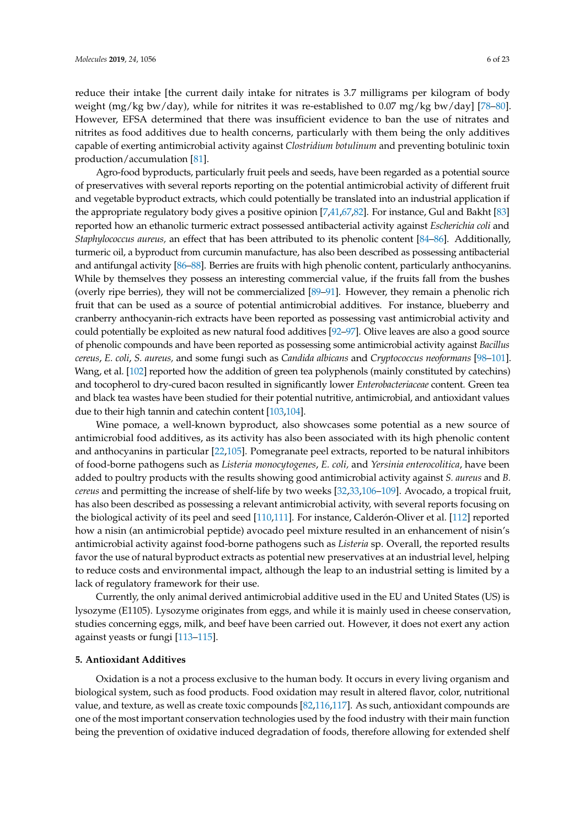reduce their intake [the current daily intake for nitrates is 3.7 milligrams per kilogram of body weight (mg/kg bw/day), while for nitrites it was re-established to 0.07 mg/kg bw/day] [\[78–](#page-15-12)[80\]](#page-16-0). However, EFSA determined that there was insufficient evidence to ban the use of nitrates and nitrites as food additives due to health concerns, particularly with them being the only additives capable of exerting antimicrobial activity against *Clostridium botulinum* and preventing botulinic toxin production/accumulation [\[81\]](#page-16-1).

Agro-food byproducts, particularly fruit peels and seeds, have been regarded as a potential source of preservatives with several reports reporting on the potential antimicrobial activity of different fruit and vegetable byproduct extracts, which could potentially be translated into an industrial application if the appropriate regulatory body gives a positive opinion [\[7,](#page-12-5)[41,](#page-14-7)[67](#page-15-13)[,82\]](#page-16-2). For instance, Gul and Bakht [\[83\]](#page-16-3) reported how an ethanolic turmeric extract possessed antibacterial activity against *Escherichia coli* and *Staphylococcus aureus,* an effect that has been attributed to its phenolic content [\[84–](#page-16-4)[86\]](#page-16-5). Additionally, turmeric oil, a byproduct from curcumin manufacture, has also been described as possessing antibacterial and antifungal activity [\[86–](#page-16-5)[88\]](#page-16-6). Berries are fruits with high phenolic content, particularly anthocyanins. While by themselves they possess an interesting commercial value, if the fruits fall from the bushes (overly ripe berries), they will not be commercialized [\[89–](#page-16-7)[91\]](#page-16-8). However, they remain a phenolic rich fruit that can be used as a source of potential antimicrobial additives. For instance, blueberry and cranberry anthocyanin-rich extracts have been reported as possessing vast antimicrobial activity and could potentially be exploited as new natural food additives [\[92–](#page-16-9)[97\]](#page-16-10). Olive leaves are also a good source of phenolic compounds and have been reported as possessing some antimicrobial activity against *Bacillus cereus*, *E. coli*, *S. aureus,* and some fungi such as *Candida albicans* and *Cryptococcus neoformans* [\[98](#page-16-11)[–101\]](#page-17-0). Wang, et al. [\[102\]](#page-17-1) reported how the addition of green tea polyphenols (mainly constituted by catechins) and tocopherol to dry-cured bacon resulted in significantly lower *Enterobacteriaceae* content. Green tea and black tea wastes have been studied for their potential nutritive, antimicrobial, and antioxidant values due to their high tannin and catechin content [\[103](#page-17-2)[,104\]](#page-17-3).

Wine pomace, a well-known byproduct, also showcases some potential as a new source of antimicrobial food additives, as its activity has also been associated with its high phenolic content and anthocyanins in particular [\[22,](#page-13-10)[105\]](#page-17-4). Pomegranate peel extracts, reported to be natural inhibitors of food-borne pathogens such as *Listeria monocytogenes*, *E. coli,* and *Yersinia enterocolitica*, have been added to poultry products with the results showing good antimicrobial activity against *S. aureus* and *B. cereus* and permitting the increase of shelf-life by two weeks [\[32,](#page-13-20)[33,](#page-14-0)[106](#page-17-5)[–109\]](#page-17-6). Avocado, a tropical fruit, has also been described as possessing a relevant antimicrobial activity, with several reports focusing on the biological activity of its peel and seed [\[110](#page-17-7)[,111\]](#page-17-8). For instance, Calderón-Oliver et al. [\[112\]](#page-17-9) reported how a nisin (an antimicrobial peptide) avocado peel mixture resulted in an enhancement of nisin's antimicrobial activity against food-borne pathogens such as *Listeria* sp. Overall, the reported results favor the use of natural byproduct extracts as potential new preservatives at an industrial level, helping to reduce costs and environmental impact, although the leap to an industrial setting is limited by a lack of regulatory framework for their use.

Currently, the only animal derived antimicrobial additive used in the EU and United States (US) is lysozyme (E1105). Lysozyme originates from eggs, and while it is mainly used in cheese conservation, studies concerning eggs, milk, and beef have been carried out. However, it does not exert any action against yeasts or fungi [\[113](#page-17-10)[–115\]](#page-17-11).

# **5. Antioxidant Additives**

Oxidation is a not a process exclusive to the human body. It occurs in every living organism and biological system, such as food products. Food oxidation may result in altered flavor, color, nutritional value, and texture, as well as create toxic compounds [\[82](#page-16-2)[,116](#page-17-12)[,117\]](#page-17-13). As such, antioxidant compounds are one of the most important conservation technologies used by the food industry with their main function being the prevention of oxidative induced degradation of foods, therefore allowing for extended shelf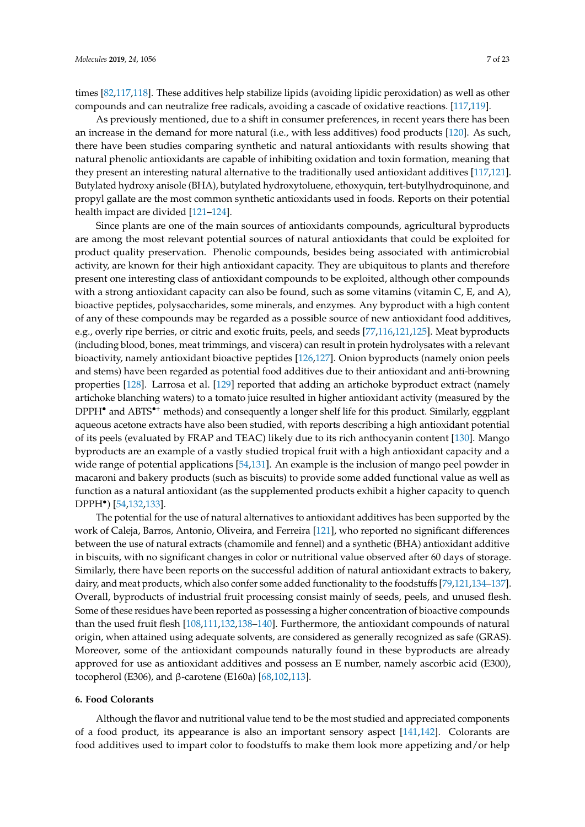times [\[82,](#page-16-2)[117,](#page-17-13)[118\]](#page-17-14). These additives help stabilize lipids (avoiding lipidic peroxidation) as well as other compounds and can neutralize free radicals, avoiding a cascade of oxidative reactions. [\[117](#page-17-13)[,119\]](#page-17-15).

As previously mentioned, due to a shift in consumer preferences, in recent years there has been an increase in the demand for more natural (i.e., with less additives) food products [\[120\]](#page-17-16). As such, there have been studies comparing synthetic and natural antioxidants with results showing that natural phenolic antioxidants are capable of inhibiting oxidation and toxin formation, meaning that they present an interesting natural alternative to the traditionally used antioxidant additives [\[117](#page-17-13)[,121\]](#page-17-17). Butylated hydroxy anisole (BHA), butylated hydroxytoluene, ethoxyquin, tert-butylhydroquinone, and propyl gallate are the most common synthetic antioxidants used in foods. Reports on their potential health impact are divided [\[121–](#page-17-17)[124\]](#page-18-0).

Since plants are one of the main sources of antioxidants compounds, agricultural byproducts are among the most relevant potential sources of natural antioxidants that could be exploited for product quality preservation. Phenolic compounds, besides being associated with antimicrobial activity, are known for their high antioxidant capacity. They are ubiquitous to plants and therefore present one interesting class of antioxidant compounds to be exploited, although other compounds with a strong antioxidant capacity can also be found, such as some vitamins (vitamin C, E, and A), bioactive peptides, polysaccharides, some minerals, and enzymes. Any byproduct with a high content of any of these compounds may be regarded as a possible source of new antioxidant food additives, e.g., overly ripe berries, or citric and exotic fruits, peels, and seeds [\[77](#page-15-11)[,116,](#page-17-12)[121,](#page-17-17)[125\]](#page-18-1). Meat byproducts (including blood, bones, meat trimmings, and viscera) can result in protein hydrolysates with a relevant bioactivity, namely antioxidant bioactive peptides [\[126,](#page-18-2)[127\]](#page-18-3). Onion byproducts (namely onion peels and stems) have been regarded as potential food additives due to their antioxidant and anti-browning properties [\[128\]](#page-18-4). Larrosa et al. [\[129\]](#page-18-5) reported that adding an artichoke byproduct extract (namely artichoke blanching waters) to a tomato juice resulted in higher antioxidant activity (measured by the DPPH<sup>•</sup> and ABTS<sup>•+</sup> methods) and consequently a longer shelf life for this product. Similarly, eggplant aqueous acetone extracts have also been studied, with reports describing a high antioxidant potential of its peels (evaluated by FRAP and TEAC) likely due to its rich anthocyanin content [\[130\]](#page-18-6). Mango byproducts are an example of a vastly studied tropical fruit with a high antioxidant capacity and a wide range of potential applications [\[54,](#page-14-15)[131\]](#page-18-7). An example is the inclusion of mango peel powder in macaroni and bakery products (such as biscuits) to provide some added functional value as well as function as a natural antioxidant (as the supplemented products exhibit a higher capacity to quench DPPH• ) [\[54](#page-14-15)[,132,](#page-18-8)[133\]](#page-18-9).

The potential for the use of natural alternatives to antioxidant additives has been supported by the work of Caleja, Barros, Antonio, Oliveira, and Ferreira [\[121\]](#page-17-17), who reported no significant differences between the use of natural extracts (chamomile and fennel) and a synthetic (BHA) antioxidant additive in biscuits, with no significant changes in color or nutritional value observed after 60 days of storage. Similarly, there have been reports on the successful addition of natural antioxidant extracts to bakery, dairy, and meat products, which also confer some added functionality to the foodstuffs [\[79,](#page-15-14)[121,](#page-17-17)[134–](#page-18-10)[137\]](#page-18-11). Overall, byproducts of industrial fruit processing consist mainly of seeds, peels, and unused flesh. Some of these residues have been reported as possessing a higher concentration of bioactive compounds than the used fruit flesh [\[108](#page-17-18)[,111](#page-17-8)[,132](#page-18-8)[,138–](#page-18-12)[140\]](#page-18-13). Furthermore, the antioxidant compounds of natural origin, when attained using adequate solvents, are considered as generally recognized as safe (GRAS). Moreover, some of the antioxidant compounds naturally found in these byproducts are already approved for use as antioxidant additives and possess an E number, namely ascorbic acid (E300), tocopherol (E306), and β-carotene (E160a) [\[68,](#page-15-8)[102,](#page-17-1)[113\]](#page-17-10).

#### **6. Food Colorants**

Although the flavor and nutritional value tend to be the most studied and appreciated components of a food product, its appearance is also an important sensory aspect [\[141,](#page-18-14)[142\]](#page-18-15). Colorants are food additives used to impart color to foodstuffs to make them look more appetizing and/or help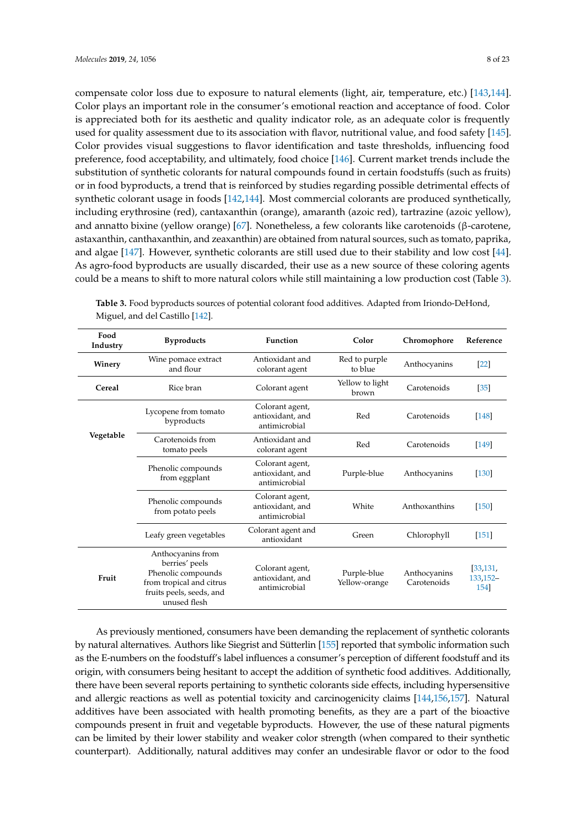compensate color loss due to exposure to natural elements (light, air, temperature, etc.) [\[143,](#page-19-0)[144\]](#page-19-1). Color plays an important role in the consumer's emotional reaction and acceptance of food. Color is appreciated both for its aesthetic and quality indicator role, as an adequate color is frequently used for quality assessment due to its association with flavor, nutritional value, and food safety [\[145\]](#page-19-2). Color provides visual suggestions to flavor identification and taste thresholds, influencing food preference, food acceptability, and ultimately, food choice [\[146\]](#page-19-3). Current market trends include the substitution of synthetic colorants for natural compounds found in certain foodstuffs (such as fruits) or in food byproducts, a trend that is reinforced by studies regarding possible detrimental effects of synthetic colorant usage in foods [\[142](#page-18-15)[,144\]](#page-19-1). Most commercial colorants are produced synthetically, including erythrosine (red), cantaxanthin (orange), amaranth (azoic red), tartrazine (azoic yellow), and annatto bixine (yellow orange) [\[67\]](#page-15-13). Nonetheless, a few colorants like carotenoids (β-carotene, astaxanthin, canthaxanthin, and zeaxanthin) are obtained from natural sources, such as tomato, paprika, and algae [\[147\]](#page-19-4). However, synthetic colorants are still used due to their stability and low cost [\[44\]](#page-14-8). As agro-food byproducts are usually discarded, their use as a new source of these coloring agents could be a means to shift to more natural colors while still maintaining a low production cost (Table [3\)](#page-7-0).

| Food<br>Industry | <b>Byproducts</b>                                                                                                                 | <b>Function</b>                                      | Color                        | Chromophore                 | Reference                     |
|------------------|-----------------------------------------------------------------------------------------------------------------------------------|------------------------------------------------------|------------------------------|-----------------------------|-------------------------------|
| Winery           | Wine pomace extract<br>and flour                                                                                                  | Antioxidant and<br>colorant agent                    | Red to purple<br>to blue     | Anthocyanins                | $[22]$                        |
| Cereal           | Rice bran                                                                                                                         | Colorant agent                                       | Yellow to light<br>brown     | Carotenoids                 | [35]                          |
|                  | Colorant agent,<br>Lycopene from tomato<br>antioxidant, and<br>byproducts<br>antimicrobial                                        |                                                      | Red                          | Carotenoids                 | $[148]$                       |
| Vegetable        | Carotenoids from<br>tomato peels                                                                                                  | Antioxidant and<br>colorant agent                    | Red                          | Carotenoids                 | [149]                         |
|                  | Phenolic compounds<br>from eggplant                                                                                               | Colorant agent,<br>antioxidant, and<br>antimicrobial | Purple-blue                  | Anthocyanins                | $[130]$                       |
|                  | Phenolic compounds<br>from potato peels                                                                                           | Colorant agent,<br>antioxidant, and<br>antimicrobial | White                        | Anthoxanthins               | $[150]$                       |
|                  | Leafy green vegetables                                                                                                            | Colorant agent and<br>antioxidant                    | Green                        | Chlorophyll                 | $[151]$                       |
| Fruit            | Anthocyanins from<br>berries' peels<br>Phenolic compounds<br>from tropical and citrus<br>fruits peels, seeds, and<br>unused flesh | Colorant agent,<br>antioxidant, and<br>antimicrobial | Purple-blue<br>Yellow-orange | Anthocyanins<br>Carotenoids | [33, 131,<br>133,152-<br>1541 |

<span id="page-7-0"></span>**Table 3.** Food byproducts sources of potential colorant food additives. Adapted from Iriondo-DeHond, Miguel, and del Castillo [\[142\]](#page-18-15).

As previously mentioned, consumers have been demanding the replacement of synthetic colorants by natural alternatives. Authors like Siegrist and Sütterlin [\[155\]](#page-19-11) reported that symbolic information such as the E-numbers on the foodstuff's label influences a consumer's perception of different foodstuff and its origin, with consumers being hesitant to accept the addition of synthetic food additives. Additionally, there have been several reports pertaining to synthetic colorants side effects, including hypersensitive and allergic reactions as well as potential toxicity and carcinogenicity claims [\[144](#page-19-1)[,156](#page-19-12)[,157\]](#page-19-13). Natural additives have been associated with health promoting benefits, as they are a part of the bioactive compounds present in fruit and vegetable byproducts. However, the use of these natural pigments can be limited by their lower stability and weaker color strength (when compared to their synthetic counterpart). Additionally, natural additives may confer an undesirable flavor or odor to the food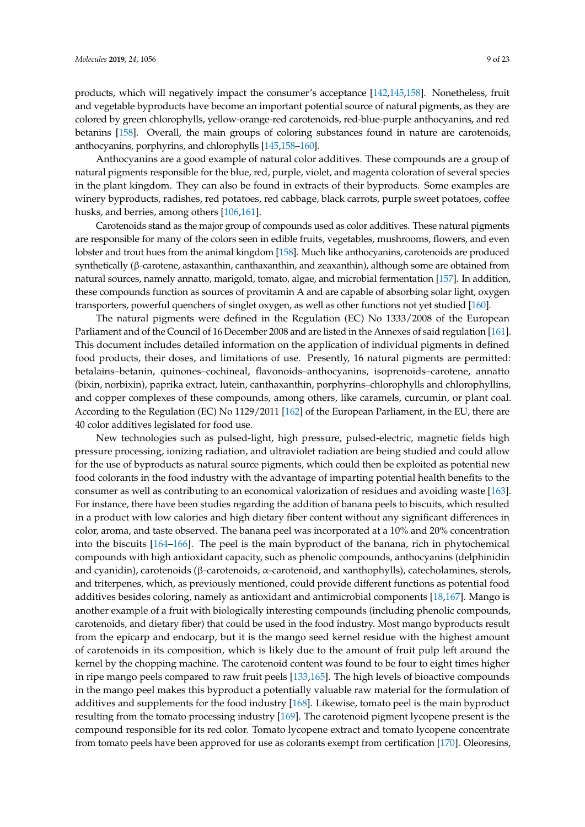products, which will negatively impact the consumer's acceptance [\[142,](#page-18-15)[145,](#page-19-2)[158\]](#page-19-14). Nonetheless, fruit and vegetable byproducts have become an important potential source of natural pigments, as they are colored by green chlorophylls, yellow-orange-red carotenoids, red-blue-purple anthocyanins, and red betanins [\[158\]](#page-19-14). Overall, the main groups of coloring substances found in nature are carotenoids, anthocyanins, porphyrins, and chlorophylls [\[145,](#page-19-2)[158–](#page-19-14)[160\]](#page-19-15).

Anthocyanins are a good example of natural color additives. These compounds are a group of natural pigments responsible for the blue, red, purple, violet, and magenta coloration of several species in the plant kingdom. They can also be found in extracts of their byproducts. Some examples are winery byproducts, radishes, red potatoes, red cabbage, black carrots, purple sweet potatoes, coffee husks, and berries, among others [\[106](#page-17-5)[,161\]](#page-19-16).

Carotenoids stand as the major group of compounds used as color additives. These natural pigments are responsible for many of the colors seen in edible fruits, vegetables, mushrooms, flowers, and even lobster and trout hues from the animal kingdom [\[158\]](#page-19-14). Much like anthocyanins, carotenoids are produced synthetically (β-carotene, astaxanthin, canthaxanthin, and zeaxanthin), although some are obtained from natural sources, namely annatto, marigold, tomato, algae, and microbial fermentation [\[157\]](#page-19-13). In addition, these compounds function as sources of provitamin A and are capable of absorbing solar light, oxygen transporters, powerful quenchers of singlet oxygen, as well as other functions not yet studied [\[160\]](#page-19-15).

The natural pigments were defined in the Regulation (EC) No 1333/2008 of the European Parliament and of the Council of 16 December 2008 and are listed in the Annexes of said regulation [\[161\]](#page-19-16). This document includes detailed information on the application of individual pigments in defined food products, their doses, and limitations of use. Presently, 16 natural pigments are permitted: betalains–betanin, quinones–cochineal, flavonoids–anthocyanins, isoprenoids–carotene, annatto (bixin, norbixin), paprika extract, lutein, canthaxanthin, porphyrins–chlorophylls and chlorophyllins, and copper complexes of these compounds, among others, like caramels, curcumin, or plant coal. According to the Regulation (EC) No 1129/2011 [\[162\]](#page-19-17) of the European Parliament, in the EU, there are 40 color additives legislated for food use.

New technologies such as pulsed-light, high pressure, pulsed-electric, magnetic fields high pressure processing, ionizing radiation, and ultraviolet radiation are being studied and could allow for the use of byproducts as natural source pigments, which could then be exploited as potential new food colorants in the food industry with the advantage of imparting potential health benefits to the consumer as well as contributing to an economical valorization of residues and avoiding waste [\[163\]](#page-19-18). For instance, there have been studies regarding the addition of banana peels to biscuits, which resulted in a product with low calories and high dietary fiber content without any significant differences in color, aroma, and taste observed. The banana peel was incorporated at a 10% and 20% concentration into the biscuits [\[164](#page-19-19)[–166\]](#page-19-20). The peel is the main byproduct of the banana, rich in phytochemical compounds with high antioxidant capacity, such as phenolic compounds, anthocyanins (delphinidin and cyanidin), carotenoids (β-carotenoids, α-carotenoid, and xanthophylls), catecholamines, sterols, and triterpenes, which, as previously mentioned, could provide different functions as potential food additives besides coloring, namely as antioxidant and antimicrobial components [\[18](#page-13-6)[,167\]](#page-19-21). Mango is another example of a fruit with biologically interesting compounds (including phenolic compounds, carotenoids, and dietary fiber) that could be used in the food industry. Most mango byproducts result from the epicarp and endocarp, but it is the mango seed kernel residue with the highest amount of carotenoids in its composition, which is likely due to the amount of fruit pulp left around the kernel by the chopping machine. The carotenoid content was found to be four to eight times higher in ripe mango peels compared to raw fruit peels [\[133](#page-18-9)[,165\]](#page-19-22). The high levels of bioactive compounds in the mango peel makes this byproduct a potentially valuable raw material for the formulation of additives and supplements for the food industry [\[168\]](#page-19-23). Likewise, tomato peel is the main byproduct resulting from the tomato processing industry [\[169\]](#page-20-0). The carotenoid pigment lycopene present is the compound responsible for its red color. Tomato lycopene extract and tomato lycopene concentrate from tomato peels have been approved for use as colorants exempt from certification [\[170\]](#page-20-1). Oleoresins,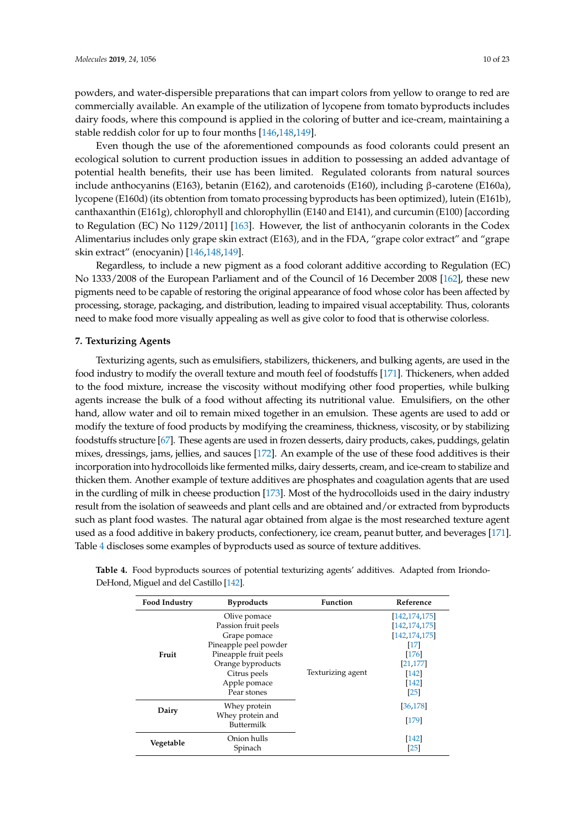powders, and water-dispersible preparations that can impart colors from yellow to orange to red are commercially available. An example of the utilization of lycopene from tomato byproducts includes dairy foods, where this compound is applied in the coloring of butter and ice-cream, maintaining a stable reddish color for up to four months [\[146](#page-19-3)[,148](#page-19-5)[,149\]](#page-19-6).

Even though the use of the aforementioned compounds as food colorants could present an ecological solution to current production issues in addition to possessing an added advantage of potential health benefits, their use has been limited. Regulated colorants from natural sources include anthocyanins (E163), betanin (E162), and carotenoids (E160), including β-carotene (E160a), lycopene (E160d) (its obtention from tomato processing byproducts has been optimized), lutein (E161b), canthaxanthin (E161g), chlorophyll and chlorophyllin (E140 and E141), and curcumin (E100) [according to Regulation (EC) No 1129/2011] [\[163\]](#page-19-18). However, the list of anthocyanin colorants in the Codex Alimentarius includes only grape skin extract (E163), and in the FDA, "grape color extract" and "grape skin extract" (enocyanin) [\[146,](#page-19-3)[148](#page-19-5)[,149\]](#page-19-6).

Regardless, to include a new pigment as a food colorant additive according to Regulation (EC) No 1333/2008 of the European Parliament and of the Council of 16 December 2008 [\[162\]](#page-19-17), these new pigments need to be capable of restoring the original appearance of food whose color has been affected by processing, storage, packaging, and distribution, leading to impaired visual acceptability. Thus, colorants need to make food more visually appealing as well as give color to food that is otherwise colorless.

# **7. Texturizing Agents**

Texturizing agents, such as emulsifiers, stabilizers, thickeners, and bulking agents, are used in the food industry to modify the overall texture and mouth feel of foodstuffs [\[171\]](#page-20-2). Thickeners, when added to the food mixture, increase the viscosity without modifying other food properties, while bulking agents increase the bulk of a food without affecting its nutritional value. Emulsifiers, on the other hand, allow water and oil to remain mixed together in an emulsion. These agents are used to add or modify the texture of food products by modifying the creaminess, thickness, viscosity, or by stabilizing foodstuffs structure [\[67\]](#page-15-13). These agents are used in frozen desserts, dairy products, cakes, puddings, gelatin mixes, dressings, jams, jellies, and sauces [\[172\]](#page-20-3). An example of the use of these food additives is their incorporation into hydrocolloids like fermented milks, dairy desserts, cream, and ice-cream to stabilize and thicken them. Another example of texture additives are phosphates and coagulation agents that are used in the curdling of milk in cheese production [\[173\]](#page-20-4). Most of the hydrocolloids used in the dairy industry result from the isolation of seaweeds and plant cells and are obtained and/or extracted from byproducts such as plant food wastes. The natural agar obtained from algae is the most researched texture agent used as a food additive in bakery products, confectionery, ice cream, peanut butter, and beverages [\[171\]](#page-20-2). Table [4](#page-9-0) discloses some examples of byproducts used as source of texture additives.

| <b>Food Industry</b> | <b>Byproducts</b>                                                                                                                                                         | <b>Function</b>   | Reference                                                                                                                   |
|----------------------|---------------------------------------------------------------------------------------------------------------------------------------------------------------------------|-------------------|-----------------------------------------------------------------------------------------------------------------------------|
| Fruit                | Olive pomace<br>Passion fruit peels<br>Grape pomace<br>Pineapple peel powder<br>Pineapple fruit peels<br>Orange byproducts<br>Citrus peels<br>Apple pomace<br>Pear stones | Texturizing agent | [142, 174, 175]<br>[142,174,175]<br>[142,174,175]<br>$[17]$<br>$[176]$<br>[21, 177]<br>[142]<br>[142]<br>$\lceil 25 \rceil$ |
| Dairy                | Whey protein<br>Whey protein and<br>Buttermilk                                                                                                                            |                   | [36,178]<br>[179]                                                                                                           |
| Vegetable            | Onion hulls<br>Spinach                                                                                                                                                    |                   | [142]<br>[25]                                                                                                               |

<span id="page-9-0"></span>**Table 4.** Food byproducts sources of potential texturizing agents' additives. Adapted from Iriondo-DeHond, Miguel and del Castillo [\[142\]](#page-18-15).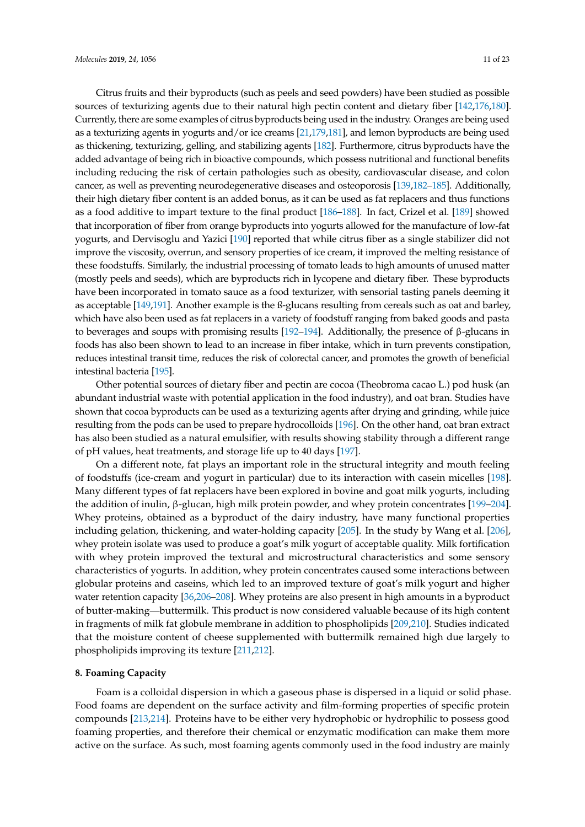Citrus fruits and their byproducts (such as peels and seed powders) have been studied as possible sources of texturizing agents due to their natural high pectin content and dietary fiber [\[142](#page-18-15)[,176](#page-20-7)[,180\]](#page-20-11). Currently, there are some examples of citrus byproducts being used in the industry. Oranges are being used as a texturizing agents in yogurts and/or ice creams [\[21,](#page-13-9)[179,](#page-20-10)[181\]](#page-20-12), and lemon byproducts are being used as thickening, texturizing, gelling, and stabilizing agents [\[182\]](#page-20-13). Furthermore, citrus byproducts have the added advantage of being rich in bioactive compounds, which possess nutritional and functional benefits including reducing the risk of certain pathologies such as obesity, cardiovascular disease, and colon cancer, as well as preventing neurodegenerative diseases and osteoporosis [\[139](#page-18-16)[,182–](#page-20-13)[185\]](#page-20-14). Additionally, their high dietary fiber content is an added bonus, as it can be used as fat replacers and thus functions as a food additive to impart texture to the final product [\[186](#page-20-15)[–188\]](#page-20-16). In fact, Crizel et al. [\[189\]](#page-20-17) showed that incorporation of fiber from orange byproducts into yogurts allowed for the manufacture of low-fat yogurts, and Dervisoglu and Yazici [\[190\]](#page-20-18) reported that while citrus fiber as a single stabilizer did not improve the viscosity, overrun, and sensory properties of ice cream, it improved the melting resistance of these foodstuffs. Similarly, the industrial processing of tomato leads to high amounts of unused matter (mostly peels and seeds), which are byproducts rich in lycopene and dietary fiber. These byproducts have been incorporated in tomato sauce as a food texturizer, with sensorial tasting panels deeming it as acceptable [\[149](#page-19-6)[,191\]](#page-21-0). Another example is the ß-glucans resulting from cereals such as oat and barley, which have also been used as fat replacers in a variety of foodstuff ranging from baked goods and pasta to beverages and soups with promising results [\[192–](#page-21-1)[194\]](#page-21-2). Additionally, the presence of β-glucans in foods has also been shown to lead to an increase in fiber intake, which in turn prevents constipation, reduces intestinal transit time, reduces the risk of colorectal cancer, and promotes the growth of beneficial intestinal bacteria [\[195\]](#page-21-3).

Other potential sources of dietary fiber and pectin are cocoa (Theobroma cacao L.) pod husk (an abundant industrial waste with potential application in the food industry), and oat bran. Studies have shown that cocoa byproducts can be used as a texturizing agents after drying and grinding, while juice resulting from the pods can be used to prepare hydrocolloids [\[196\]](#page-21-4). On the other hand, oat bran extract has also been studied as a natural emulsifier, with results showing stability through a different range of pH values, heat treatments, and storage life up to 40 days [\[197\]](#page-21-5).

On a different note, fat plays an important role in the structural integrity and mouth feeling of foodstuffs (ice-cream and yogurt in particular) due to its interaction with casein micelles [\[198\]](#page-21-6). Many different types of fat replacers have been explored in bovine and goat milk yogurts, including the addition of inulin, β-glucan, high milk protein powder, and whey protein concentrates [\[199–](#page-21-7)[204\]](#page-21-8). Whey proteins, obtained as a byproduct of the dairy industry, have many functional properties including gelation, thickening, and water-holding capacity [\[205\]](#page-21-9). In the study by Wang et al. [\[206\]](#page-21-10), whey protein isolate was used to produce a goat's milk yogurt of acceptable quality. Milk fortification with whey protein improved the textural and microstructural characteristics and some sensory characteristics of yogurts. In addition, whey protein concentrates caused some interactions between globular proteins and caseins, which led to an improved texture of goat's milk yogurt and higher water retention capacity [\[36](#page-14-3)[,206–](#page-21-10)[208\]](#page-21-11). Whey proteins are also present in high amounts in a byproduct of butter-making—buttermilk. This product is now considered valuable because of its high content in fragments of milk fat globule membrane in addition to phospholipids [\[209](#page-21-12)[,210\]](#page-21-13). Studies indicated that the moisture content of cheese supplemented with buttermilk remained high due largely to phospholipids improving its texture [\[211,](#page-21-14)[212\]](#page-21-15).

# **8. Foaming Capacity**

Foam is a colloidal dispersion in which a gaseous phase is dispersed in a liquid or solid phase. Food foams are dependent on the surface activity and film-forming properties of specific protein compounds [\[213](#page-21-16)[,214\]](#page-22-0). Proteins have to be either very hydrophobic or hydrophilic to possess good foaming properties, and therefore their chemical or enzymatic modification can make them more active on the surface. As such, most foaming agents commonly used in the food industry are mainly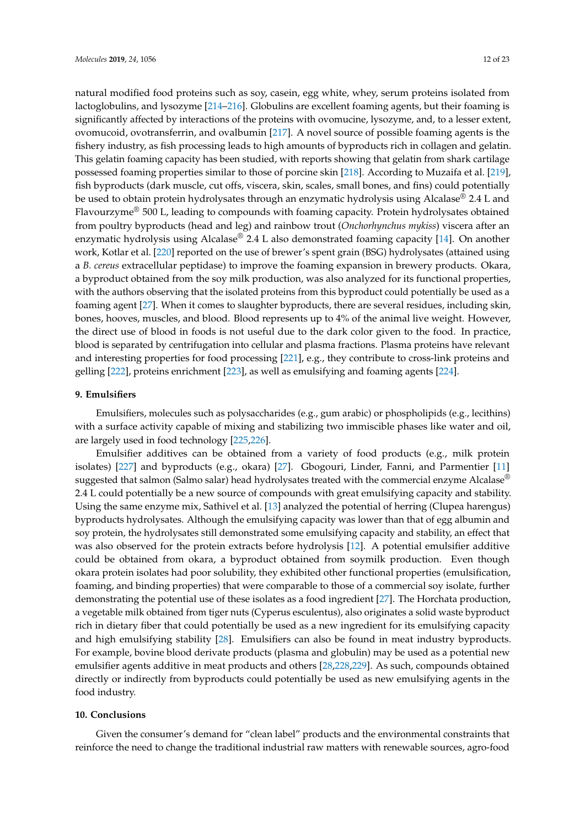natural modified food proteins such as soy, casein, egg white, whey, serum proteins isolated from lactoglobulins, and lysozyme [\[214](#page-22-0)[–216\]](#page-22-1). Globulins are excellent foaming agents, but their foaming is significantly affected by interactions of the proteins with ovomucine, lysozyme, and, to a lesser extent, ovomucoid, ovotransferrin, and ovalbumin [\[217\]](#page-22-2). A novel source of possible foaming agents is the fishery industry, as fish processing leads to high amounts of byproducts rich in collagen and gelatin. This gelatin foaming capacity has been studied, with reports showing that gelatin from shark cartilage possessed foaming properties similar to those of porcine skin [\[218\]](#page-22-3). According to Muzaifa et al. [\[219\]](#page-22-4), fish byproducts (dark muscle, cut offs, viscera, skin, scales, small bones, and fins) could potentially be used to obtain protein hydrolysates through an enzymatic hydrolysis using Alcalase® 2.4 L and Flavourzyme® 500 L, leading to compounds with foaming capacity. Protein hydrolysates obtained from poultry byproducts (head and leg) and rainbow trout (*Onchorhynchus mykiss*) viscera after an enzymatic hydrolysis using Alcalase<sup>®</sup> 2.4 L also demonstrated foaming capacity [\[14\]](#page-13-2). On another work, Kotlar et al. [\[220\]](#page-22-5) reported on the use of brewer's spent grain (BSG) hydrolysates (attained using a *B. cereus* extracellular peptidase) to improve the foaming expansion in brewery products. Okara, a byproduct obtained from the soy milk production, was also analyzed for its functional properties, with the authors observing that the isolated proteins from this byproduct could potentially be used as a foaming agent [\[27\]](#page-13-15). When it comes to slaughter byproducts, there are several residues, including skin, bones, hooves, muscles, and blood. Blood represents up to 4% of the animal live weight. However, the direct use of blood in foods is not useful due to the dark color given to the food. In practice, blood is separated by centrifugation into cellular and plasma fractions. Plasma proteins have relevant and interesting properties for food processing [\[221\]](#page-22-6), e.g., they contribute to cross-link proteins and gelling [\[222\]](#page-22-7), proteins enrichment [\[223\]](#page-22-8), as well as emulsifying and foaming agents [\[224\]](#page-22-9).

# **9. Emulsifiers**

Emulsifiers, molecules such as polysaccharides (e.g., gum arabic) or phospholipids (e.g., lecithins) with a surface activity capable of mixing and stabilizing two immiscible phases like water and oil, are largely used in food technology [\[225,](#page-22-10)[226\]](#page-22-11).

Emulsifier additives can be obtained from a variety of food products (e.g., milk protein isolates) [\[227\]](#page-22-12) and byproducts (e.g., okara) [\[27\]](#page-13-15). Gbogouri, Linder, Fanni, and Parmentier [\[11\]](#page-12-9) suggested that salmon (Salmo salar) head hydrolysates treated with the commercial enzyme Alcalase<sup>®</sup> 2.4 L could potentially be a new source of compounds with great emulsifying capacity and stability. Using the same enzyme mix, Sathivel et al. [\[13\]](#page-13-1) analyzed the potential of herring (Clupea harengus) byproducts hydrolysates. Although the emulsifying capacity was lower than that of egg albumin and soy protein, the hydrolysates still demonstrated some emulsifying capacity and stability, an effect that was also observed for the protein extracts before hydrolysis [\[12\]](#page-13-0). A potential emulsifier additive could be obtained from okara, a byproduct obtained from soymilk production. Even though okara protein isolates had poor solubility, they exhibited other functional properties (emulsification, foaming, and binding properties) that were comparable to those of a commercial soy isolate, further demonstrating the potential use of these isolates as a food ingredient [\[27\]](#page-13-15). The Horchata production, a vegetable milk obtained from tiger nuts (Cyperus esculentus), also originates a solid waste byproduct rich in dietary fiber that could potentially be used as a new ingredient for its emulsifying capacity and high emulsifying stability [\[28\]](#page-13-16). Emulsifiers can also be found in meat industry byproducts. For example, bovine blood derivate products (plasma and globulin) may be used as a potential new emulsifier agents additive in meat products and others [\[28](#page-13-16)[,228](#page-22-13)[,229\]](#page-22-14). As such, compounds obtained directly or indirectly from byproducts could potentially be used as new emulsifying agents in the food industry.

# **10. Conclusions**

Given the consumer's demand for "clean label" products and the environmental constraints that reinforce the need to change the traditional industrial raw matters with renewable sources, agro-food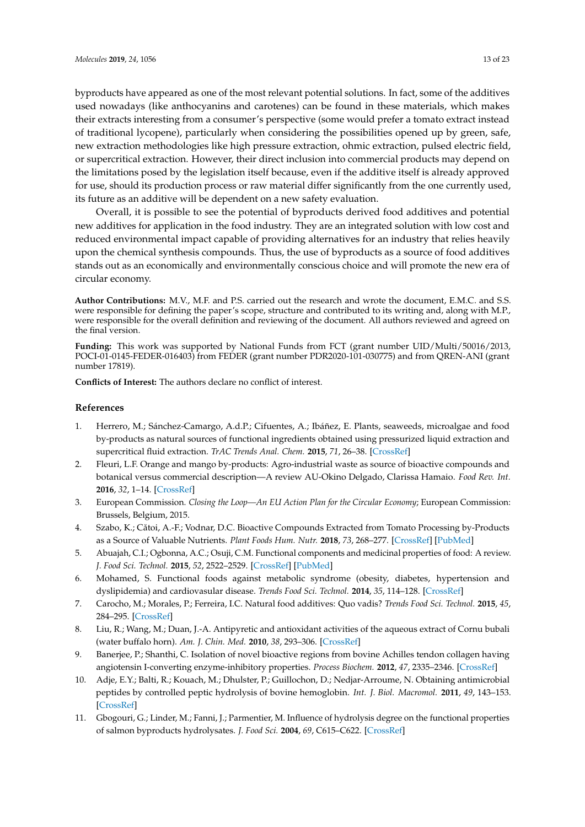byproducts have appeared as one of the most relevant potential solutions. In fact, some of the additives used nowadays (like anthocyanins and carotenes) can be found in these materials, which makes their extracts interesting from a consumer's perspective (some would prefer a tomato extract instead of traditional lycopene), particularly when considering the possibilities opened up by green, safe, new extraction methodologies like high pressure extraction, ohmic extraction, pulsed electric field, or supercritical extraction. However, their direct inclusion into commercial products may depend on the limitations posed by the legislation itself because, even if the additive itself is already approved for use, should its production process or raw material differ significantly from the one currently used, its future as an additive will be dependent on a new safety evaluation.

Overall, it is possible to see the potential of byproducts derived food additives and potential new additives for application in the food industry. They are an integrated solution with low cost and reduced environmental impact capable of providing alternatives for an industry that relies heavily upon the chemical synthesis compounds. Thus, the use of byproducts as a source of food additives stands out as an economically and environmentally conscious choice and will promote the new era of circular economy.

**Author Contributions:** M.V., M.F. and P.S. carried out the research and wrote the document, E.M.C. and S.S. were responsible for defining the paper's scope, structure and contributed to its writing and, along with M.P., were responsible for the overall definition and reviewing of the document. All authors reviewed and agreed on the final version.

**Funding:** This work was supported by National Funds from FCT (grant number UID/Multi/50016/2013, POCI-01-0145-FEDER-016403) from FEDER (grant number PDR2020-101-030775) and from QREN-ANI (grant number 17819).

**Conflicts of Interest:** The authors declare no conflict of interest.

# **References**

- <span id="page-12-0"></span>1. Herrero, M.; Sánchez-Camargo, A.d.P.; Cifuentes, A.; Ibáñez, E. Plants, seaweeds, microalgae and food by-products as natural sources of functional ingredients obtained using pressurized liquid extraction and supercritical fluid extraction. *TrAC Trends Anal. Chem.* **2015**, *71*, 26–38. [\[CrossRef\]](http://dx.doi.org/10.1016/j.trac.2015.01.018)
- <span id="page-12-1"></span>2. Fleuri, L.F. Orange and mango by-products: Agro-industrial waste as source of bioactive compounds and botanical versus commercial description—A review AU-Okino Delgado, Clarissa Hamaio. *Food Rev. Int.* **2016**, *32*, 1–14. [\[CrossRef\]](http://dx.doi.org/10.1080/87559129.2015.1041183)
- <span id="page-12-2"></span>3. European Commission. *Closing the Loop—An EU Action Plan for the Circular Economy*; European Commission: Brussels, Belgium, 2015.
- <span id="page-12-3"></span>4. Szabo, K.; Cătoi, A.-F.; Vodnar, D.C. Bioactive Compounds Extracted from Tomato Processing by-Products as a Source of Valuable Nutrients. *Plant Foods Hum. Nutr.* **2018**, *73*, 268–277. [\[CrossRef\]](http://dx.doi.org/10.1007/s11130-018-0691-0) [\[PubMed\]](http://www.ncbi.nlm.nih.gov/pubmed/30264237)
- <span id="page-12-4"></span>5. Abuajah, C.I.; Ogbonna, A.C.; Osuji, C.M. Functional components and medicinal properties of food: A review. *J. Food Sci. Technol.* **2015**, *52*, 2522–2529. [\[CrossRef\]](http://dx.doi.org/10.1007/s13197-014-1396-5) [\[PubMed\]](http://www.ncbi.nlm.nih.gov/pubmed/25892752)
- 6. Mohamed, S. Functional foods against metabolic syndrome (obesity, diabetes, hypertension and dyslipidemia) and cardiovasular disease. *Trends Food Sci. Technol.* **2014**, *35*, 114–128. [\[CrossRef\]](http://dx.doi.org/10.1016/j.tifs.2013.11.001)
- <span id="page-12-5"></span>7. Carocho, M.; Morales, P.; Ferreira, I.C. Natural food additives: Quo vadis? *Trends Food Sci. Technol.* **2015**, *45*, 284–295. [\[CrossRef\]](http://dx.doi.org/10.1016/j.tifs.2015.06.007)
- <span id="page-12-6"></span>8. Liu, R.; Wang, M.; Duan, J.-A. Antipyretic and antioxidant activities of the aqueous extract of Cornu bubali (water buffalo horn). *Am. J. Chin. Med.* **2010**, *38*, 293–306. [\[CrossRef\]](http://dx.doi.org/10.1142/S0192415X10007853)
- <span id="page-12-7"></span>9. Banerjee, P.; Shanthi, C. Isolation of novel bioactive regions from bovine Achilles tendon collagen having angiotensin I-converting enzyme-inhibitory properties. *Process Biochem.* **2012**, *47*, 2335–2346. [\[CrossRef\]](http://dx.doi.org/10.1016/j.procbio.2012.09.012)
- <span id="page-12-8"></span>10. Adje, E.Y.; Balti, R.; Kouach, M.; Dhulster, P.; Guillochon, D.; Nedjar-Arroume, N. Obtaining antimicrobial peptides by controlled peptic hydrolysis of bovine hemoglobin. *Int. J. Biol. Macromol.* **2011**, *49*, 143–153. [\[CrossRef\]](http://dx.doi.org/10.1016/j.ijbiomac.2011.04.004)
- <span id="page-12-9"></span>11. Gbogouri, G.; Linder, M.; Fanni, J.; Parmentier, M. Influence of hydrolysis degree on the functional properties of salmon byproducts hydrolysates. *J. Food Sci.* **2004**, *69*, C615–C622. [\[CrossRef\]](http://dx.doi.org/10.1111/j.1365-2621.2004.tb09909.x)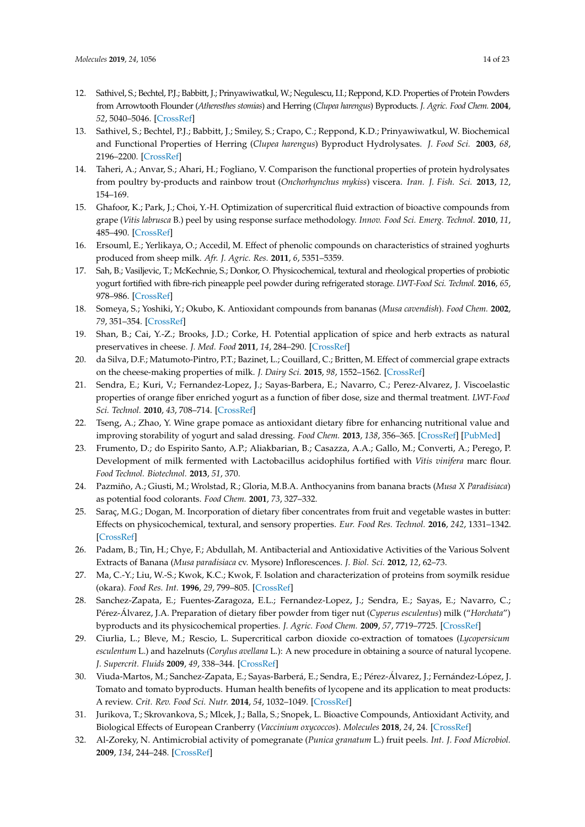- <span id="page-13-0"></span>12. Sathivel, S.; Bechtel, P.J.; Babbitt, J.; Prinyawiwatkul, W.; Negulescu, I.I.; Reppond, K.D. Properties of Protein Powders from Arrowtooth Flounder (*Atheresthes stomias*) and Herring (*Clupea harengus*) Byproducts. *J. Agric. Food Chem.* **2004**, *52*, 5040–5046. [\[CrossRef\]](http://dx.doi.org/10.1021/jf0351422)
- <span id="page-13-1"></span>13. Sathivel, S.; Bechtel, P.J.; Babbitt, J.; Smiley, S.; Crapo, C.; Reppond, K.D.; Prinyawiwatkul, W. Biochemical and Functional Properties of Herring (*Clupea harengus*) Byproduct Hydrolysates. *J. Food Sci.* **2003**, *68*, 2196–2200. [\[CrossRef\]](http://dx.doi.org/10.1111/j.1365-2621.2003.tb05746.x)
- <span id="page-13-2"></span>14. Taheri, A.; Anvar, S.; Ahari, H.; Fogliano, V. Comparison the functional properties of protein hydrolysates from poultry by-products and rainbow trout (*Onchorhynchus mykiss*) viscera. *Iran. J. Fish. Sci.* **2013**, *12*, 154–169.
- <span id="page-13-3"></span>15. Ghafoor, K.; Park, J.; Choi, Y.-H. Optimization of supercritical fluid extraction of bioactive compounds from grape (*Vitis labrusca* B.) peel by using response surface methodology. *Innov. Food Sci. Emerg. Technol.* **2010**, *11*, 485–490. [\[CrossRef\]](http://dx.doi.org/10.1016/j.ifset.2010.01.013)
- <span id="page-13-4"></span>16. Ersouml, E.; Yerlikaya, O.; Accedil, M. Effect of phenolic compounds on characteristics of strained yoghurts produced from sheep milk. *Afr. J. Agric. Res.* **2011**, *6*, 5351–5359.
- <span id="page-13-5"></span>17. Sah, B.; Vasiljevic, T.; McKechnie, S.; Donkor, O. Physicochemical, textural and rheological properties of probiotic yogurt fortified with fibre-rich pineapple peel powder during refrigerated storage. *LWT-Food Sci. Technol.* **2016**, *65*, 978–986. [\[CrossRef\]](http://dx.doi.org/10.1016/j.lwt.2015.09.027)
- <span id="page-13-6"></span>18. Someya, S.; Yoshiki, Y.; Okubo, K. Antioxidant compounds from bananas (*Musa cavendish*). *Food Chem.* **2002**, *79*, 351–354. [\[CrossRef\]](http://dx.doi.org/10.1016/S0308-8146(02)00186-3)
- <span id="page-13-7"></span>19. Shan, B.; Cai, Y.-Z.; Brooks, J.D.; Corke, H. Potential application of spice and herb extracts as natural preservatives in cheese. *J. Med. Food* **2011**, *14*, 284–290. [\[CrossRef\]](http://dx.doi.org/10.1089/jmf.2010.0009)
- <span id="page-13-8"></span>20. da Silva, D.F.; Matumoto-Pintro, P.T.; Bazinet, L.; Couillard, C.; Britten, M. Effect of commercial grape extracts on the cheese-making properties of milk. *J. Dairy Sci.* **2015**, *98*, 1552–1562. [\[CrossRef\]](http://dx.doi.org/10.3168/jds.2014-8796)
- <span id="page-13-9"></span>21. Sendra, E.; Kuri, V.; Fernandez-Lopez, J.; Sayas-Barbera, E.; Navarro, C.; Perez-Alvarez, J. Viscoelastic properties of orange fiber enriched yogurt as a function of fiber dose, size and thermal treatment. *LWT-Food Sci. Technol.* **2010**, *43*, 708–714. [\[CrossRef\]](http://dx.doi.org/10.1016/j.lwt.2009.12.005)
- <span id="page-13-10"></span>22. Tseng, A.; Zhao, Y. Wine grape pomace as antioxidant dietary fibre for enhancing nutritional value and improving storability of yogurt and salad dressing. *Food Chem.* **2013**, *138*, 356–365. [\[CrossRef\]](http://dx.doi.org/10.1016/j.foodchem.2012.09.148) [\[PubMed\]](http://www.ncbi.nlm.nih.gov/pubmed/23265499)
- <span id="page-13-11"></span>23. Frumento, D.; do Espirito Santo, A.P.; Aliakbarian, B.; Casazza, A.A.; Gallo, M.; Converti, A.; Perego, P. Development of milk fermented with Lactobacillus acidophilus fortified with *Vitis vinifera* marc flour. *Food Technol. Biotechnol.* **2013**, *51*, 370.
- <span id="page-13-12"></span>24. Pazmiño, A.; Giusti, M.; Wrolstad, R.; Gloria, M.B.A. Anthocyanins from banana bracts (*Musa X Paradisiaca*) as potential food colorants. *Food Chem.* **2001**, *73*, 327–332.
- <span id="page-13-13"></span>25. Saraç, M.G.; Dogan, M. Incorporation of dietary fiber concentrates from fruit and vegetable wastes in butter: Effects on physicochemical, textural, and sensory properties. *Eur. Food Res. Technol.* **2016**, *242*, 1331–1342. [\[CrossRef\]](http://dx.doi.org/10.1007/s00217-016-2637-9)
- <span id="page-13-14"></span>26. Padam, B.; Tin, H.; Chye, F.; Abdullah, M. Antibacterial and Antioxidative Activities of the Various Solvent Extracts of Banana (*Musa paradisiaca* cv. Mysore) Inflorescences. *J. Biol. Sci.* **2012**, *12*, 62–73.
- <span id="page-13-15"></span>27. Ma, C.-Y.; Liu, W.-S.; Kwok, K.C.; Kwok, F. Isolation and characterization of proteins from soymilk residue (okara). *Food Res. Int.* **1996**, *29*, 799–805. [\[CrossRef\]](http://dx.doi.org/10.1016/0963-9969(95)00061-5)
- <span id="page-13-16"></span>28. Sanchez-Zapata, E.; Fuentes-Zaragoza, E.L.; Fernandez-Lopez, J.; Sendra, E.; Sayas, E.; Navarro, C.; Pérez-Álvarez, J.A. Preparation of dietary fiber powder from tiger nut (*Cyperus esculentus*) milk ("*Horchata*") byproducts and its physicochemical properties. *J. Agric. Food Chem.* **2009**, *57*, 7719–7725. [\[CrossRef\]](http://dx.doi.org/10.1021/jf901687r)
- <span id="page-13-17"></span>29. Ciurlia, L.; Bleve, M.; Rescio, L. Supercritical carbon dioxide co-extraction of tomatoes (*Lycopersicum esculentum* L.) and hazelnuts (*Corylus avellana* L.): A new procedure in obtaining a source of natural lycopene. *J. Supercrit. Fluids* **2009**, *49*, 338–344. [\[CrossRef\]](http://dx.doi.org/10.1016/j.supflu.2009.03.003)
- <span id="page-13-18"></span>30. Viuda-Martos, M.; Sanchez-Zapata, E.; Sayas-Barberá, E.; Sendra, E.; Pérez-Álvarez, J.; Fernández-López, J. Tomato and tomato byproducts. Human health benefits of lycopene and its application to meat products: A review. *Crit. Rev. Food Sci. Nutr.* **2014**, *54*, 1032–1049. [\[CrossRef\]](http://dx.doi.org/10.1080/10408398.2011.623799)
- <span id="page-13-19"></span>31. Jurikova, T.; Skrovankova, S.; Mlcek, J.; Balla, S.; Snopek, L. Bioactive Compounds, Antioxidant Activity, and Biological Effects of European Cranberry (*Vaccinium oxycoccos*). *Molecules* **2018**, *24*, 24. [\[CrossRef\]](http://dx.doi.org/10.3390/molecules24010024)
- <span id="page-13-20"></span>32. Al-Zoreky, N. Antimicrobial activity of pomegranate (*Punica granatum* L.) fruit peels. *Int. J. Food Microbiol.* **2009**, *134*, 244–248. [\[CrossRef\]](http://dx.doi.org/10.1016/j.ijfoodmicro.2009.07.002)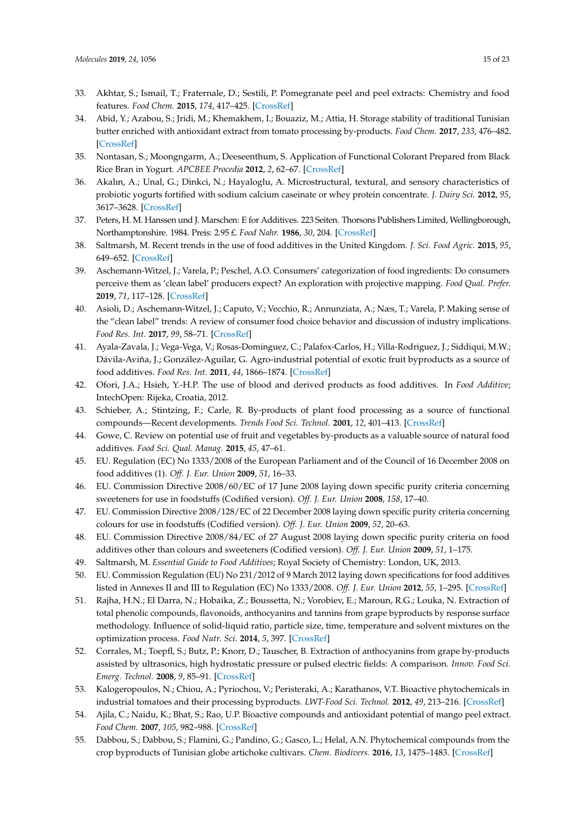- <span id="page-14-0"></span>33. Akhtar, S.; Ismail, T.; Fraternale, D.; Sestili, P. Pomegranate peel and peel extracts: Chemistry and food features. *Food Chem.* **2015**, *174*, 417–425. [\[CrossRef\]](http://dx.doi.org/10.1016/j.foodchem.2014.11.035)
- <span id="page-14-1"></span>34. Abid, Y.; Azabou, S.; Jridi, M.; Khemakhem, I.; Bouaziz, M.; Attia, H. Storage stability of traditional Tunisian butter enriched with antioxidant extract from tomato processing by-products. *Food Chem.* **2017**, *233*, 476–482. [\[CrossRef\]](http://dx.doi.org/10.1016/j.foodchem.2017.04.125)
- <span id="page-14-2"></span>35. Nontasan, S.; Moongngarm, A.; Deeseenthum, S. Application of Functional Colorant Prepared from Black Rice Bran in Yogurt. *APCBEE Procedia* **2012**, *2*, 62–67. [\[CrossRef\]](http://dx.doi.org/10.1016/j.apcbee.2012.06.012)
- <span id="page-14-3"></span>36. Akalın, A.; Unal, G.; Dinkci, N.; Hayaloglu, A. Microstructural, textural, and sensory characteristics of probiotic yogurts fortified with sodium calcium caseinate or whey protein concentrate. *J. Dairy Sci.* **2012**, *95*, 3617–3628. [\[CrossRef\]](http://dx.doi.org/10.3168/jds.2011-5297)
- <span id="page-14-4"></span>37. Peters, H. M. Hanssen und J. Marschen: E for Additives. 223 Seiten. Thorsons Publishers Limited, Wellingborough, Northamptonshire. 1984. Preis: 2.95 £. *Food Nahr.* **1986**, *30*, 204. [\[CrossRef\]](http://dx.doi.org/10.1002/food.19860300225)
- 38. Saltmarsh, M. Recent trends in the use of food additives in the United Kingdom. *J. Sci. Food Agric.* **2015**, *95*, 649–652. [\[CrossRef\]](http://dx.doi.org/10.1002/jsfa.6715)
- <span id="page-14-5"></span>39. Aschemann-Witzel, J.; Varela, P.; Peschel, A.O. Consumers' categorization of food ingredients: Do consumers perceive them as 'clean label' producers expect? An exploration with projective mapping. *Food Qual. Prefer.* **2019**, *71*, 117–128. [\[CrossRef\]](http://dx.doi.org/10.1016/j.foodqual.2018.06.003)
- <span id="page-14-6"></span>40. Asioli, D.; Aschemann-Witzel, J.; Caputo, V.; Vecchio, R.; Annunziata, A.; Næs, T.; Varela, P. Making sense of the "clean label" trends: A review of consumer food choice behavior and discussion of industry implications. *Food Res. Int.* **2017**, *99*, 58–71. [\[CrossRef\]](http://dx.doi.org/10.1016/j.foodres.2017.07.022)
- <span id="page-14-7"></span>41. Ayala-Zavala, J.; Vega-Vega, V.; Rosas-Domínguez, C.; Palafox-Carlos, H.; Villa-Rodriguez, J.; Siddiqui, M.W.; Dávila-Aviña, J.; González-Aguilar, G. Agro-industrial potential of exotic fruit byproducts as a source of food additives. *Food Res. Int.* **2011**, *44*, 1866–1874. [\[CrossRef\]](http://dx.doi.org/10.1016/j.foodres.2011.02.021)
- 42. Ofori, J.A.; Hsieh, Y.-H.P. The use of blood and derived products as food additives. In *Food Additive*; IntechOpen: Rijeka, Croatia, 2012.
- 43. Schieber, A.; Stintzing, F.; Carle, R. By-products of plant food processing as a source of functional compounds—Recent developments. *Trends Food Sci. Technol.* **2001**, *12*, 401–413. [\[CrossRef\]](http://dx.doi.org/10.1016/S0924-2244(02)00012-2)
- <span id="page-14-8"></span>44. Gowe, C. Review on potential use of fruit and vegetables by-products as a valuable source of natural food additives. *Food Sci. Qual. Manag.* **2015**, *45*, 47–61.
- <span id="page-14-9"></span>45. EU. Regulation (EC) No 1333/2008 of the European Parliament and of the Council of 16 December 2008 on food additives (1). *Off. J. Eur. Union* **2009**, *51*, 16–33.
- <span id="page-14-10"></span>46. EU. Commission Directive 2008/60/EC of 17 June 2008 laying down specific purity criteria concerning sweeteners for use in foodstuffs (Codified version). *Off. J. Eur. Union* **2008**, *158*, 17–40.
- 47. EU. Commission Directive 2008/128/EC of 22 December 2008 laying down specific purity criteria concerning colours for use in foodstuffs (Codified version). *Off. J. Eur. Union* **2009**, *52*, 20–63.
- <span id="page-14-11"></span>48. EU. Commission Directive 2008/84/EC of 27 August 2008 laying down specific purity criteria on food additives other than colours and sweeteners (Codified version). *Off. J. Eur. Union* **2009**, *51*, 1–175.
- <span id="page-14-14"></span>49. Saltmarsh, M. *Essential Guide to Food Additives*; Royal Society of Chemistry: London, UK, 2013.
- <span id="page-14-12"></span>50. EU. Commission Regulation (EU) No 231/2012 of 9 March 2012 laying down specifications for food additives listed in Annexes II and III to Regulation (EC) No 1333/2008. *Off. J. Eur. Union* **2012**, *55*, 1–295. [\[CrossRef\]](http://dx.doi.org/10.3000/19770677.L_2012)
- <span id="page-14-13"></span>51. Rajha, H.N.; El Darra, N.; Hobaika, Z.; Boussetta, N.; Vorobiev, E.; Maroun, R.G.; Louka, N. Extraction of total phenolic compounds, flavonoids, anthocyanins and tannins from grape byproducts by response surface methodology. Influence of solid-liquid ratio, particle size, time, temperature and solvent mixtures on the optimization process. *Food Nutr. Sci.* **2014**, *5*, 397. [\[CrossRef\]](http://dx.doi.org/10.4236/fns.2014.54048)
- 52. Corrales, M.; Toepfl, S.; Butz, P.; Knorr, D.; Tauscher, B. Extraction of anthocyanins from grape by-products assisted by ultrasonics, high hydrostatic pressure or pulsed electric fields: A comparison. *Innov. Food Sci. Emerg. Technol.* **2008**, *9*, 85–91. [\[CrossRef\]](http://dx.doi.org/10.1016/j.ifset.2007.06.002)
- 53. Kalogeropoulos, N.; Chiou, A.; Pyriochou, V.; Peristeraki, A.; Karathanos, V.T. Bioactive phytochemicals in industrial tomatoes and their processing byproducts. *LWT-Food Sci. Technol.* **2012**, *49*, 213–216. [\[CrossRef\]](http://dx.doi.org/10.1016/j.lwt.2011.12.036)
- <span id="page-14-15"></span>54. Ajila, C.; Naidu, K.; Bhat, S.; Rao, U.P. Bioactive compounds and antioxidant potential of mango peel extract. *Food Chem.* **2007**, *105*, 982–988. [\[CrossRef\]](http://dx.doi.org/10.1016/j.foodchem.2007.04.052)
- 55. Dabbou, S.; Dabbou, S.; Flamini, G.; Pandino, G.; Gasco, L.; Helal, A.N. Phytochemical compounds from the crop byproducts of Tunisian globe artichoke cultivars. *Chem. Biodivers.* **2016**, *13*, 1475–1483. [\[CrossRef\]](http://dx.doi.org/10.1002/cbdv.201600046)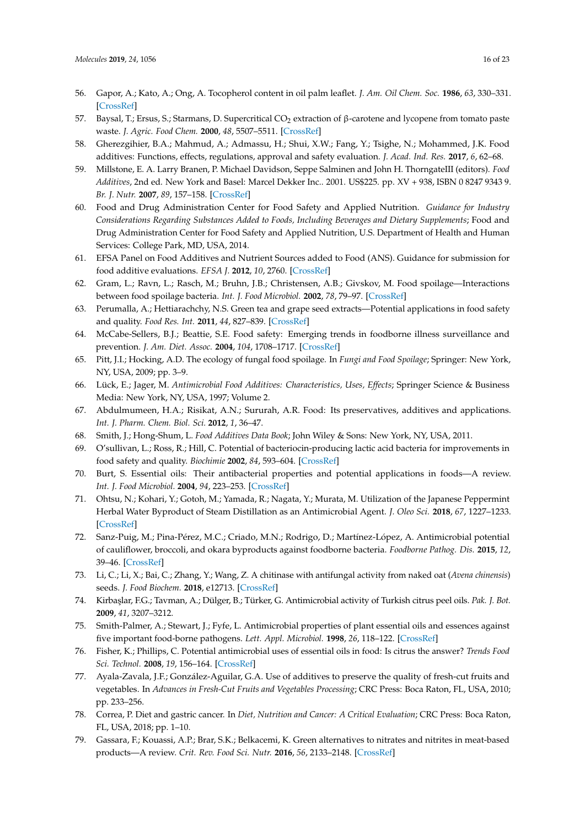- 56. Gapor, A.; Kato, A.; Ong, A. Tocopherol content in oil palm leaflet. *J. Am. Oil Chem. Soc.* **1986**, *63*, 330–331. [\[CrossRef\]](http://dx.doi.org/10.1007/BF02546040)
- <span id="page-15-0"></span>57. Baysal, T.; Ersus, S.; Starmans, D. Supercritical  $CO<sub>2</sub>$  extraction of β-carotene and lycopene from tomato paste waste. *J. Agric. Food Chem.* **2000**, *48*, 5507–5511. [\[CrossRef\]](http://dx.doi.org/10.1021/jf000311t)
- <span id="page-15-1"></span>58. Gherezgihier, B.A.; Mahmud, A.; Admassu, H.; Shui, X.W.; Fang, Y.; Tsighe, N.; Mohammed, J.K. Food additives: Functions, effects, regulations, approval and safety evaluation. *J. Acad. Ind. Res.* **2017**, *6*, 62–68.
- <span id="page-15-2"></span>59. Millstone, E. A. Larry Branen, P. Michael Davidson, Seppe Salminen and John H. ThorngateIII (editors). *Food Additives*, 2nd ed. New York and Basel: Marcel Dekker Inc.. 2001. US\$225. pp. XV + 938, ISBN 0 8247 9343 9. *Br. J. Nutr.* **2007**, *89*, 157–158. [\[CrossRef\]](http://dx.doi.org/10.1079/BJN2002755)
- <span id="page-15-3"></span>60. Food and Drug Administration Center for Food Safety and Applied Nutrition. *Guidance for Industry Considerations Regarding Substances Added to Foods, Including Beverages and Dietary Supplements*; Food and Drug Administration Center for Food Safety and Applied Nutrition, U.S. Department of Health and Human Services: College Park, MD, USA, 2014.
- <span id="page-15-4"></span>61. EFSA Panel on Food Additives and Nutrient Sources added to Food (ANS). Guidance for submission for food additive evaluations. *EFSA J.* **2012**, *10*, 2760. [\[CrossRef\]](http://dx.doi.org/10.2903/j.efsa.2012.2760)
- <span id="page-15-5"></span>62. Gram, L.; Ravn, L.; Rasch, M.; Bruhn, J.B.; Christensen, A.B.; Givskov, M. Food spoilage—Interactions between food spoilage bacteria. *Int. J. Food Microbiol.* **2002**, *78*, 79–97. [\[CrossRef\]](http://dx.doi.org/10.1016/S0168-1605(02)00233-7)
- 63. Perumalla, A.; Hettiarachchy, N.S. Green tea and grape seed extracts—Potential applications in food safety and quality. *Food Res. Int.* **2011**, *44*, 827–839. [\[CrossRef\]](http://dx.doi.org/10.1016/j.foodres.2011.01.022)
- 64. McCabe-Sellers, B.J.; Beattie, S.E. Food safety: Emerging trends in foodborne illness surveillance and prevention. *J. Am. Diet. Assoc.* **2004**, *104*, 1708–1717. [\[CrossRef\]](http://dx.doi.org/10.1016/j.jada.2004.08.028)
- <span id="page-15-6"></span>65. Pitt, J.I.; Hocking, A.D. The ecology of fungal food spoilage. In *Fungi and Food Spoilage*; Springer: New York, NY, USA, 2009; pp. 3–9.
- <span id="page-15-7"></span>66. Lück, E.; Jager, M. *Antimicrobial Food Additives: Characteristics, Uses, Effects*; Springer Science & Business Media: New York, NY, USA, 1997; Volume 2.
- <span id="page-15-13"></span>67. Abdulmumeen, H.A.; Risikat, A.N.; Sururah, A.R. Food: Its preservatives, additives and applications. *Int. J. Pharm. Chem. Biol. Sci.* **2012**, *1*, 36–47.
- <span id="page-15-8"></span>68. Smith, J.; Hong-Shum, L. *Food Additives Data Book*; John Wiley & Sons: New York, NY, USA, 2011.
- <span id="page-15-9"></span>69. O'sullivan, L.; Ross, R.; Hill, C. Potential of bacteriocin-producing lactic acid bacteria for improvements in food safety and quality. *Biochimie* **2002**, *84*, 593–604. [\[CrossRef\]](http://dx.doi.org/10.1016/S0300-9084(02)01457-8)
- 70. Burt, S. Essential oils: Their antibacterial properties and potential applications in foods—A review. *Int. J. Food Microbiol.* **2004**, *94*, 223–253. [\[CrossRef\]](http://dx.doi.org/10.1016/j.ijfoodmicro.2004.03.022)
- 71. Ohtsu, N.; Kohari, Y.; Gotoh, M.; Yamada, R.; Nagata, Y.; Murata, M. Utilization of the Japanese Peppermint Herbal Water Byproduct of Steam Distillation as an Antimicrobial Agent. *J. Oleo Sci.* **2018**, *67*, 1227–1233. [\[CrossRef\]](http://dx.doi.org/10.5650/jos.ess18049)
- 72. Sanz-Puig, M.; Pina-Pérez, M.C.; Criado, M.N.; Rodrigo, D.; Martínez-López, A. Antimicrobial potential of cauliflower, broccoli, and okara byproducts against foodborne bacteria. *Foodborne Pathog. Dis.* **2015**, *12*, 39–46. [\[CrossRef\]](http://dx.doi.org/10.1089/fpd.2014.1801)
- 73. Li, C.; Li, X.; Bai, C.; Zhang, Y.; Wang, Z. A chitinase with antifungal activity from naked oat (*Avena chinensis*) seeds. *J. Food Biochem.* **2018**, e12713. [\[CrossRef\]](http://dx.doi.org/10.1111/jfbc.12713)
- 74. Kirba¸slar, F.G.; Tavman, A.; Dülger, B.; Türker, G. Antimicrobial activity of Turkish citrus peel oils. *Pak. J. Bot.* **2009**, *41*, 3207–3212.
- 75. Smith-Palmer, A.; Stewart, J.; Fyfe, L. Antimicrobial properties of plant essential oils and essences against five important food-borne pathogens. *Lett. Appl. Microbiol.* **1998**, *26*, 118–122. [\[CrossRef\]](http://dx.doi.org/10.1046/j.1472-765X.1998.00303.x)
- <span id="page-15-10"></span>76. Fisher, K.; Phillips, C. Potential antimicrobial uses of essential oils in food: Is citrus the answer? *Trends Food Sci. Technol.* **2008**, *19*, 156–164. [\[CrossRef\]](http://dx.doi.org/10.1016/j.tifs.2007.11.006)
- <span id="page-15-11"></span>77. Ayala-Zavala, J.F.; González-Aguilar, G.A. Use of additives to preserve the quality of fresh-cut fruits and vegetables. In *Advances in Fresh-Cut Fruits and Vegetables Processing*; CRC Press: Boca Raton, FL, USA, 2010; pp. 233–256.
- <span id="page-15-12"></span>78. Correa, P. Diet and gastric cancer. In *Diet, Nutrition and Cancer: A Critical Evaluation*; CRC Press: Boca Raton, FL, USA, 2018; pp. 1–10.
- <span id="page-15-14"></span>79. Gassara, F.; Kouassi, A.P.; Brar, S.K.; Belkacemi, K. Green alternatives to nitrates and nitrites in meat-based products—A review. *Crit. Rev. Food Sci. Nutr.* **2016**, *56*, 2133–2148. [\[CrossRef\]](http://dx.doi.org/10.1080/10408398.2013.812610)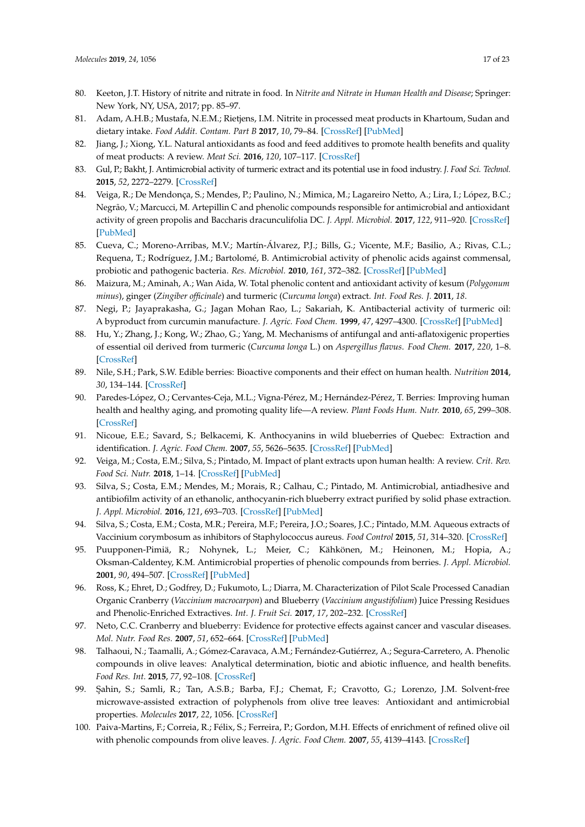- <span id="page-16-0"></span>80. Keeton, J.T. History of nitrite and nitrate in food. In *Nitrite and Nitrate in Human Health and Disease*; Springer: New York, NY, USA, 2017; pp. 85–97.
- <span id="page-16-1"></span>81. Adam, A.H.B.; Mustafa, N.E.M.; Rietjens, I.M. Nitrite in processed meat products in Khartoum, Sudan and dietary intake. *Food Addit. Contam. Part B* **2017**, *10*, 79–84. [\[CrossRef\]](http://dx.doi.org/10.1080/19393210.2016.1256352) [\[PubMed\]](http://www.ncbi.nlm.nih.gov/pubmed/27802783)
- <span id="page-16-2"></span>82. Jiang, J.; Xiong, Y.L. Natural antioxidants as food and feed additives to promote health benefits and quality of meat products: A review. *Meat Sci.* **2016**, *120*, 107–117. [\[CrossRef\]](http://dx.doi.org/10.1016/j.meatsci.2016.04.005)
- <span id="page-16-3"></span>83. Gul, P.; Bakht, J. Antimicrobial activity of turmeric extract and its potential use in food industry. *J. Food Sci. Technol.* **2015**, *52*, 2272–2279. [\[CrossRef\]](http://dx.doi.org/10.1007/s13197-013-1195-4)
- <span id="page-16-4"></span>84. Veiga, R.; De Mendonça, S.; Mendes, P.; Paulino, N.; Mimica, M.; Lagareiro Netto, A.; Lira, I.; López, B.C.; Negrão, V.; Marcucci, M. Artepillin C and phenolic compounds responsible for antimicrobial and antioxidant activity of green propolis and Baccharis dracunculifolia DC. *J. Appl. Microbiol.* **2017**, *122*, 911–920. [\[CrossRef\]](http://dx.doi.org/10.1111/jam.13400) [\[PubMed\]](http://www.ncbi.nlm.nih.gov/pubmed/28066967)
- 85. Cueva, C.; Moreno-Arribas, M.V.; Martín-Álvarez, P.J.; Bills, G.; Vicente, M.F.; Basilio, A.; Rivas, C.L.; Requena, T.; Rodríguez, J.M.; Bartolomé, B. Antimicrobial activity of phenolic acids against commensal, probiotic and pathogenic bacteria. *Res. Microbiol.* **2010**, *161*, 372–382. [\[CrossRef\]](http://dx.doi.org/10.1016/j.resmic.2010.04.006) [\[PubMed\]](http://www.ncbi.nlm.nih.gov/pubmed/20451604)
- <span id="page-16-5"></span>86. Maizura, M.; Aminah, A.; Wan Aida, W. Total phenolic content and antioxidant activity of kesum (*Polygonum minus*), ginger (*Zingiber officinale*) and turmeric (*Curcuma longa*) extract. *Int. Food Res. J.* **2011**, *18*.
- 87. Negi, P.; Jayaprakasha, G.; Jagan Mohan Rao, L.; Sakariah, K. Antibacterial activity of turmeric oil: A byproduct from curcumin manufacture. *J. Agric. Food Chem.* **1999**, *47*, 4297–4300. [\[CrossRef\]](http://dx.doi.org/10.1021/jf990308d) [\[PubMed\]](http://www.ncbi.nlm.nih.gov/pubmed/10552805)
- <span id="page-16-6"></span>88. Hu, Y.; Zhang, J.; Kong, W.; Zhao, G.; Yang, M. Mechanisms of antifungal and anti-aflatoxigenic properties of essential oil derived from turmeric (*Curcuma longa* L.) on *Aspergillus flavus*. *Food Chem.* **2017**, *220*, 1–8. [\[CrossRef\]](http://dx.doi.org/10.1016/j.foodchem.2016.09.179)
- <span id="page-16-7"></span>89. Nile, S.H.; Park, S.W. Edible berries: Bioactive components and their effect on human health. *Nutrition* **2014**, *30*, 134–144. [\[CrossRef\]](http://dx.doi.org/10.1016/j.nut.2013.04.007)
- 90. Paredes-López, O.; Cervantes-Ceja, M.L.; Vigna-Pérez, M.; Hernández-Pérez, T. Berries: Improving human health and healthy aging, and promoting quality life—A review. *Plant Foods Hum. Nutr.* **2010**, *65*, 299–308. [\[CrossRef\]](http://dx.doi.org/10.1007/s11130-010-0177-1)
- <span id="page-16-8"></span>91. Nicoue, E.E.; Savard, S.; Belkacemi, K. Anthocyanins in wild blueberries of Quebec: Extraction and identification. *J. Agric. Food Chem.* **2007**, *55*, 5626–5635. [\[CrossRef\]](http://dx.doi.org/10.1021/jf0703304) [\[PubMed\]](http://www.ncbi.nlm.nih.gov/pubmed/17579428)
- <span id="page-16-9"></span>92. Veiga, M.; Costa, E.M.; Silva, S.; Pintado, M. Impact of plant extracts upon human health: A review. *Crit. Rev. Food Sci. Nutr.* **2018**, 1–14. [\[CrossRef\]](http://dx.doi.org/10.1080/10408398.2018.1540969) [\[PubMed\]](http://www.ncbi.nlm.nih.gov/pubmed/30501504)
- 93. Silva, S.; Costa, E.M.; Mendes, M.; Morais, R.; Calhau, C.; Pintado, M. Antimicrobial, antiadhesive and antibiofilm activity of an ethanolic, anthocyanin-rich blueberry extract purified by solid phase extraction. *J. Appl. Microbiol.* **2016**, *121*, 693–703. [\[CrossRef\]](http://dx.doi.org/10.1111/jam.13215) [\[PubMed\]](http://www.ncbi.nlm.nih.gov/pubmed/27349348)
- 94. Silva, S.; Costa, E.M.; Costa, M.R.; Pereira, M.F.; Pereira, J.O.; Soares, J.C.; Pintado, M.M. Aqueous extracts of Vaccinium corymbosum as inhibitors of Staphylococcus aureus. *Food Control* **2015**, *51*, 314–320. [\[CrossRef\]](http://dx.doi.org/10.1016/j.foodcont.2014.11.040)
- 95. Puupponen-Pimiä, R.; Nohynek, L.; Meier, C.; Kähkönen, M.; Heinonen, M.; Hopia, A.; Oksman-Caldentey, K.M. Antimicrobial properties of phenolic compounds from berries. *J. Appl. Microbiol.* **2001**, *90*, 494–507. [\[CrossRef\]](http://dx.doi.org/10.1046/j.1365-2672.2001.01271.x) [\[PubMed\]](http://www.ncbi.nlm.nih.gov/pubmed/11309059)
- 96. Ross, K.; Ehret, D.; Godfrey, D.; Fukumoto, L.; Diarra, M. Characterization of Pilot Scale Processed Canadian Organic Cranberry (*Vaccinium macrocarpon*) and Blueberry (*Vaccinium angustifolium*) Juice Pressing Residues and Phenolic-Enriched Extractives. *Int. J. Fruit Sci.* **2017**, *17*, 202–232. [\[CrossRef\]](http://dx.doi.org/10.1080/15538362.2017.1285264)
- <span id="page-16-10"></span>97. Neto, C.C. Cranberry and blueberry: Evidence for protective effects against cancer and vascular diseases. *Mol. Nutr. Food Res.* **2007**, *51*, 652–664. [\[CrossRef\]](http://dx.doi.org/10.1002/mnfr.200600279) [\[PubMed\]](http://www.ncbi.nlm.nih.gov/pubmed/17533651)
- <span id="page-16-11"></span>98. Talhaoui, N.; Taamalli, A.; Gómez-Caravaca, A.M.; Fernández-Gutiérrez, A.; Segura-Carretero, A. Phenolic compounds in olive leaves: Analytical determination, biotic and abiotic influence, and health benefits. *Food Res. Int.* **2015**, *77*, 92–108. [\[CrossRef\]](http://dx.doi.org/10.1016/j.foodres.2015.09.011)
- 99. Şahin, S.; Samli, R.; Tan, A.S.B.; Barba, F.J.; Chemat, F.; Cravotto, G.; Lorenzo, J.M. Solvent-free microwave-assisted extraction of polyphenols from olive tree leaves: Antioxidant and antimicrobial properties. *Molecules* **2017**, *22*, 1056. [\[CrossRef\]](http://dx.doi.org/10.3390/molecules22071056)
- 100. Paiva-Martins, F.; Correia, R.; Félix, S.; Ferreira, P.; Gordon, M.H. Effects of enrichment of refined olive oil with phenolic compounds from olive leaves. *J. Agric. Food Chem.* **2007**, *55*, 4139–4143. [\[CrossRef\]](http://dx.doi.org/10.1021/jf063093y)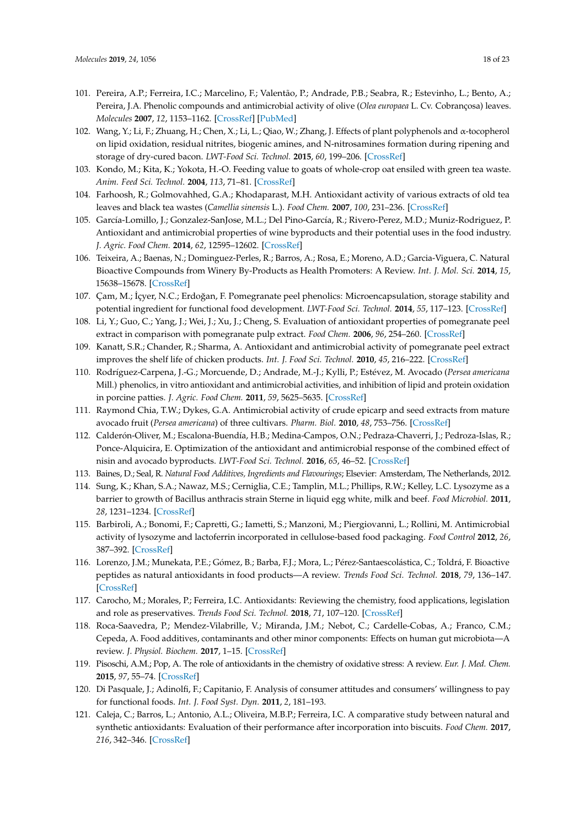- <span id="page-17-0"></span>101. Pereira, A.P.; Ferreira, I.C.; Marcelino, F.; Valentão, P.; Andrade, P.B.; Seabra, R.; Estevinho, L.; Bento, A.; Pereira, J.A. Phenolic compounds and antimicrobial activity of olive (*Olea europaea* L. Cv. Cobrançosa) leaves. *Molecules* **2007**, *12*, 1153–1162. [\[CrossRef\]](http://dx.doi.org/10.3390/12051153) [\[PubMed\]](http://www.ncbi.nlm.nih.gov/pubmed/17873849)
- <span id="page-17-1"></span>102. Wang, Y.; Li, F.; Zhuang, H.; Chen, X.; Li, L.; Qiao, W.; Zhang, J. Effects of plant polyphenols and α-tocopherol on lipid oxidation, residual nitrites, biogenic amines, and N-nitrosamines formation during ripening and storage of dry-cured bacon. *LWT-Food Sci. Technol.* **2015**, *60*, 199–206. [\[CrossRef\]](http://dx.doi.org/10.1016/j.lwt.2014.09.022)
- <span id="page-17-2"></span>103. Kondo, M.; Kita, K.; Yokota, H.-O. Feeding value to goats of whole-crop oat ensiled with green tea waste. *Anim. Feed Sci. Technol.* **2004**, *113*, 71–81. [\[CrossRef\]](http://dx.doi.org/10.1016/j.anifeedsci.2003.10.018)
- <span id="page-17-3"></span>104. Farhoosh, R.; Golmovahhed, G.A.; Khodaparast, M.H. Antioxidant activity of various extracts of old tea leaves and black tea wastes (*Camellia sinensis* L.). *Food Chem.* **2007**, *100*, 231–236. [\[CrossRef\]](http://dx.doi.org/10.1016/j.foodchem.2005.09.046)
- <span id="page-17-4"></span>105. García-Lomillo, J.; Gonzalez-SanJose, M.L.; Del Pino-García, R.; Rivero-Perez, M.D.; Muniz-Rodriguez, P. Antioxidant and antimicrobial properties of wine byproducts and their potential uses in the food industry. *J. Agric. Food Chem.* **2014**, *62*, 12595–12602. [\[CrossRef\]](http://dx.doi.org/10.1021/jf5042678)
- <span id="page-17-5"></span>106. Teixeira, A.; Baenas, N.; Dominguez-Perles, R.; Barros, A.; Rosa, E.; Moreno, A.D.; Garcia-Viguera, C. Natural Bioactive Compounds from Winery By-Products as Health Promoters: A Review. *Int. J. Mol. Sci.* **2014**, *15*, 15638–15678. [\[CrossRef\]](http://dx.doi.org/10.3390/ijms150915638)
- 107. Çam, M.; İçyer, N.C.; Erdoğan, F. Pomegranate peel phenolics: Microencapsulation, storage stability and potential ingredient for functional food development. *LWT-Food Sci. Technol.* **2014**, *55*, 117–123. [\[CrossRef\]](http://dx.doi.org/10.1016/j.lwt.2013.09.011)
- <span id="page-17-18"></span>108. Li, Y.; Guo, C.; Yang, J.; Wei, J.; Xu, J.; Cheng, S. Evaluation of antioxidant properties of pomegranate peel extract in comparison with pomegranate pulp extract. *Food Chem.* **2006**, *96*, 254–260. [\[CrossRef\]](http://dx.doi.org/10.1016/j.foodchem.2005.02.033)
- <span id="page-17-6"></span>109. Kanatt, S.R.; Chander, R.; Sharma, A. Antioxidant and antimicrobial activity of pomegranate peel extract improves the shelf life of chicken products. *Int. J. Food Sci. Technol.* **2010**, *45*, 216–222. [\[CrossRef\]](http://dx.doi.org/10.1111/j.1365-2621.2009.02124.x)
- <span id="page-17-7"></span>110. Rodríguez-Carpena, J.-G.; Morcuende, D.; Andrade, M.-J.; Kylli, P.; Estévez, M. Avocado (*Persea americana* Mill.) phenolics, in vitro antioxidant and antimicrobial activities, and inhibition of lipid and protein oxidation in porcine patties. *J. Agric. Food Chem.* **2011**, *59*, 5625–5635. [\[CrossRef\]](http://dx.doi.org/10.1021/jf1048832)
- <span id="page-17-8"></span>111. Raymond Chia, T.W.; Dykes, G.A. Antimicrobial activity of crude epicarp and seed extracts from mature avocado fruit (*Persea americana*) of three cultivars. *Pharm. Biol.* **2010**, *48*, 753–756. [\[CrossRef\]](http://dx.doi.org/10.3109/13880200903273922)
- <span id="page-17-9"></span>112. Calderón-Oliver, M.; Escalona-Buendía, H.B.; Medina-Campos, O.N.; Pedraza-Chaverri, J.; Pedroza-Islas, R.; Ponce-Alquicira, E. Optimization of the antioxidant and antimicrobial response of the combined effect of nisin and avocado byproducts. *LWT-Food Sci. Technol.* **2016**, *65*, 46–52. [\[CrossRef\]](http://dx.doi.org/10.1016/j.lwt.2015.07.048)
- <span id="page-17-10"></span>113. Baines, D.; Seal, R. *Natural Food Additives, Ingredients and Flavourings*; Elsevier: Amsterdam, The Netherlands, 2012.
- 114. Sung, K.; Khan, S.A.; Nawaz, M.S.; Cerniglia, C.E.; Tamplin, M.L.; Phillips, R.W.; Kelley, L.C. Lysozyme as a barrier to growth of Bacillus anthracis strain Sterne in liquid egg white, milk and beef. *Food Microbiol.* **2011**, *28*, 1231–1234. [\[CrossRef\]](http://dx.doi.org/10.1016/j.fm.2011.03.002)
- <span id="page-17-11"></span>115. Barbiroli, A.; Bonomi, F.; Capretti, G.; Iametti, S.; Manzoni, M.; Piergiovanni, L.; Rollini, M. Antimicrobial activity of lysozyme and lactoferrin incorporated in cellulose-based food packaging. *Food Control* **2012**, *26*, 387–392. [\[CrossRef\]](http://dx.doi.org/10.1016/j.foodcont.2012.01.046)
- <span id="page-17-12"></span>116. Lorenzo, J.M.; Munekata, P.E.; Gómez, B.; Barba, F.J.; Mora, L.; Pérez-Santaescolástica, C.; Toldrá, F. Bioactive peptides as natural antioxidants in food products—A review. *Trends Food Sci. Technol.* **2018**, *79*, 136–147. [\[CrossRef\]](http://dx.doi.org/10.1016/j.tifs.2018.07.003)
- <span id="page-17-13"></span>117. Carocho, M.; Morales, P.; Ferreira, I.C. Antioxidants: Reviewing the chemistry, food applications, legislation and role as preservatives. *Trends Food Sci. Technol.* **2018**, *71*, 107–120. [\[CrossRef\]](http://dx.doi.org/10.1016/j.tifs.2017.11.008)
- <span id="page-17-14"></span>118. Roca-Saavedra, P.; Mendez-Vilabrille, V.; Miranda, J.M.; Nebot, C.; Cardelle-Cobas, A.; Franco, C.M.; Cepeda, A. Food additives, contaminants and other minor components: Effects on human gut microbiota—A review. *J. Physiol. Biochem.* **2017**, 1–15. [\[CrossRef\]](http://dx.doi.org/10.1007/s13105-017-0564-2)
- <span id="page-17-15"></span>119. Pisoschi, A.M.; Pop, A. The role of antioxidants in the chemistry of oxidative stress: A review. *Eur. J. Med. Chem.* **2015**, *97*, 55–74. [\[CrossRef\]](http://dx.doi.org/10.1016/j.ejmech.2015.04.040)
- <span id="page-17-16"></span>120. Di Pasquale, J.; Adinolfi, F.; Capitanio, F. Analysis of consumer attitudes and consumers' willingness to pay for functional foods. *Int. J. Food Syst. Dyn.* **2011**, *2*, 181–193.
- <span id="page-17-17"></span>121. Caleja, C.; Barros, L.; Antonio, A.L.; Oliveira, M.B.P.; Ferreira, I.C. A comparative study between natural and synthetic antioxidants: Evaluation of their performance after incorporation into biscuits. *Food Chem.* **2017**, *216*, 342–346. [\[CrossRef\]](http://dx.doi.org/10.1016/j.foodchem.2016.08.075)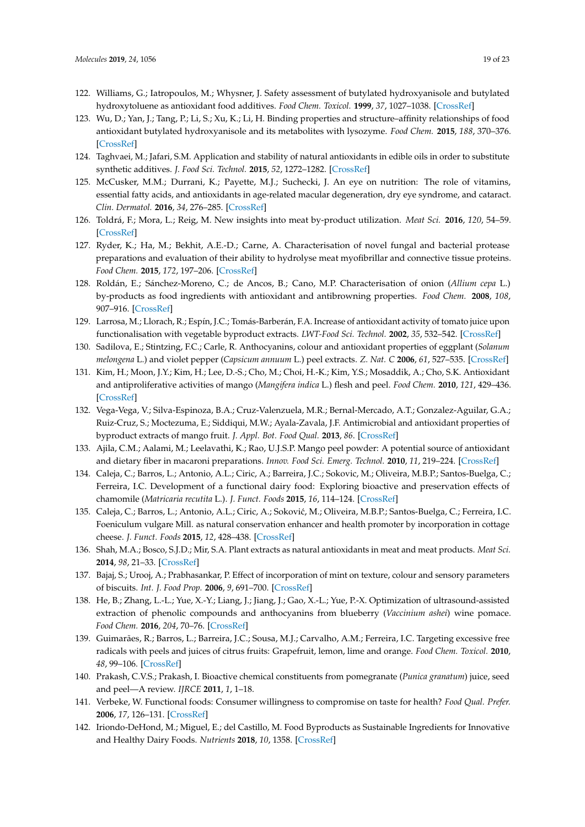- 122. Williams, G.; Iatropoulos, M.; Whysner, J. Safety assessment of butylated hydroxyanisole and butylated hydroxytoluene as antioxidant food additives. *Food Chem. Toxicol.* **1999**, *37*, 1027–1038. [\[CrossRef\]](http://dx.doi.org/10.1016/S0278-6915(99)00085-X)
- 123. Wu, D.; Yan, J.; Tang, P.; Li, S.; Xu, K.; Li, H. Binding properties and structure–affinity relationships of food antioxidant butylated hydroxyanisole and its metabolites with lysozyme. *Food Chem.* **2015**, *188*, 370–376. [\[CrossRef\]](http://dx.doi.org/10.1016/j.foodchem.2015.05.013)
- <span id="page-18-0"></span>124. Taghvaei, M.; Jafari, S.M. Application and stability of natural antioxidants in edible oils in order to substitute synthetic additives. *J. Food Sci. Technol.* **2015**, *52*, 1272–1282. [\[CrossRef\]](http://dx.doi.org/10.1007/s13197-013-1080-1)
- <span id="page-18-1"></span>125. McCusker, M.M.; Durrani, K.; Payette, M.J.; Suchecki, J. An eye on nutrition: The role of vitamins, essential fatty acids, and antioxidants in age-related macular degeneration, dry eye syndrome, and cataract. *Clin. Dermatol.* **2016**, *34*, 276–285. [\[CrossRef\]](http://dx.doi.org/10.1016/j.clindermatol.2015.11.009)
- <span id="page-18-2"></span>126. Toldrá, F.; Mora, L.; Reig, M. New insights into meat by-product utilization. *Meat Sci.* **2016**, *120*, 54–59. [\[CrossRef\]](http://dx.doi.org/10.1016/j.meatsci.2016.04.021)
- <span id="page-18-3"></span>127. Ryder, K.; Ha, M.; Bekhit, A.E.-D.; Carne, A. Characterisation of novel fungal and bacterial protease preparations and evaluation of their ability to hydrolyse meat myofibrillar and connective tissue proteins. *Food Chem.* **2015**, *172*, 197–206. [\[CrossRef\]](http://dx.doi.org/10.1016/j.foodchem.2014.09.061)
- <span id="page-18-4"></span>128. Roldán, E.; Sánchez-Moreno, C.; de Ancos, B.; Cano, M.P. Characterisation of onion (*Allium cepa* L.) by-products as food ingredients with antioxidant and antibrowning properties. *Food Chem.* **2008**, *108*, 907–916. [\[CrossRef\]](http://dx.doi.org/10.1016/j.foodchem.2007.11.058)
- <span id="page-18-5"></span>129. Larrosa, M.; Llorach, R.; Espín, J.C.; Tomás-Barberán, F.A. Increase of antioxidant activity of tomato juice upon functionalisation with vegetable byproduct extracts. *LWT-Food Sci. Technol.* **2002**, *35*, 532–542. [\[CrossRef\]](http://dx.doi.org/10.1006/fstl.2002.0907)
- <span id="page-18-6"></span>130. Sadilova, E.; Stintzing, F.C.; Carle, R. Anthocyanins, colour and antioxidant properties of eggplant (*Solanum melongena* L.) and violet pepper (*Capsicum annuum* L.) peel extracts. *Z. Nat. C* **2006**, *61*, 527–535. [\[CrossRef\]](http://dx.doi.org/10.1515/znc-2006-7-810)
- <span id="page-18-7"></span>131. Kim, H.; Moon, J.Y.; Kim, H.; Lee, D.-S.; Cho, M.; Choi, H.-K.; Kim, Y.S.; Mosaddik, A.; Cho, S.K. Antioxidant and antiproliferative activities of mango (*Mangifera indica* L.) flesh and peel. *Food Chem.* **2010**, *121*, 429–436. [\[CrossRef\]](http://dx.doi.org/10.1016/j.foodchem.2009.12.060)
- <span id="page-18-8"></span>132. Vega-Vega, V.; Silva-Espinoza, B.A.; Cruz-Valenzuela, M.R.; Bernal-Mercado, A.T.; Gonzalez-Aguilar, G.A.; Ruiz-Cruz, S.; Moctezuma, E.; Siddiqui, M.W.; Ayala-Zavala, J.F. Antimicrobial and antioxidant properties of byproduct extracts of mango fruit. *J. Appl. Bot. Food Qual.* **2013**, *86*. [\[CrossRef\]](http://dx.doi.org/10.5073/JABFQ.2013.086.028)
- <span id="page-18-9"></span>133. Ajila, C.M.; Aalami, M.; Leelavathi, K.; Rao, U.J.S.P. Mango peel powder: A potential source of antioxidant and dietary fiber in macaroni preparations. *Innov. Food Sci. Emerg. Technol.* **2010**, *11*, 219–224. [\[CrossRef\]](http://dx.doi.org/10.1016/j.ifset.2009.10.004)
- <span id="page-18-10"></span>134. Caleja, C.; Barros, L.; Antonio, A.L.; Ciric, A.; Barreira, J.C.; Sokovic, M.; Oliveira, M.B.P.; Santos-Buelga, C.; Ferreira, I.C. Development of a functional dairy food: Exploring bioactive and preservation effects of chamomile (*Matricaria recutita* L.). *J. Funct. Foods* **2015**, *16*, 114–124. [\[CrossRef\]](http://dx.doi.org/10.1016/j.jff.2015.04.033)
- 135. Caleja, C.; Barros, L.; Antonio, A.L.; Ciric, A.; Soković, M.; Oliveira, M.B.P.; Santos-Buelga, C.; Ferreira, I.C. Foeniculum vulgare Mill. as natural conservation enhancer and health promoter by incorporation in cottage cheese. *J. Funct. Foods* **2015**, *12*, 428–438. [\[CrossRef\]](http://dx.doi.org/10.1016/j.jff.2014.12.016)
- 136. Shah, M.A.; Bosco, S.J.D.; Mir, S.A. Plant extracts as natural antioxidants in meat and meat products. *Meat Sci.* **2014**, *98*, 21–33. [\[CrossRef\]](http://dx.doi.org/10.1016/j.meatsci.2014.03.020)
- <span id="page-18-11"></span>137. Bajaj, S.; Urooj, A.; Prabhasankar, P. Effect of incorporation of mint on texture, colour and sensory parameters of biscuits. *Int. J. Food Prop.* **2006**, *9*, 691–700. [\[CrossRef\]](http://dx.doi.org/10.1080/10942910600547632)
- <span id="page-18-12"></span>138. He, B.; Zhang, L.-L.; Yue, X.-Y.; Liang, J.; Jiang, J.; Gao, X.-L.; Yue, P.-X. Optimization of ultrasound-assisted extraction of phenolic compounds and anthocyanins from blueberry (*Vaccinium ashei*) wine pomace. *Food Chem.* **2016**, *204*, 70–76. [\[CrossRef\]](http://dx.doi.org/10.1016/j.foodchem.2016.02.094)
- <span id="page-18-16"></span>139. Guimarães, R.; Barros, L.; Barreira, J.C.; Sousa, M.J.; Carvalho, A.M.; Ferreira, I.C. Targeting excessive free radicals with peels and juices of citrus fruits: Grapefruit, lemon, lime and orange. *Food Chem. Toxicol.* **2010**, *48*, 99–106. [\[CrossRef\]](http://dx.doi.org/10.1016/j.fct.2009.09.022)
- <span id="page-18-13"></span>140. Prakash, C.V.S.; Prakash, I. Bioactive chemical constituents from pomegranate (*Punica granatum*) juice, seed and peel—A review. *IJRCE* **2011**, *1*, 1–18.
- <span id="page-18-14"></span>141. Verbeke, W. Functional foods: Consumer willingness to compromise on taste for health? *Food Qual. Prefer.* **2006**, *17*, 126–131. [\[CrossRef\]](http://dx.doi.org/10.1016/j.foodqual.2005.03.003)
- <span id="page-18-15"></span>142. Iriondo-DeHond, M.; Miguel, E.; del Castillo, M. Food Byproducts as Sustainable Ingredients for Innovative and Healthy Dairy Foods. *Nutrients* **2018**, *10*, 1358. [\[CrossRef\]](http://dx.doi.org/10.3390/nu10101358)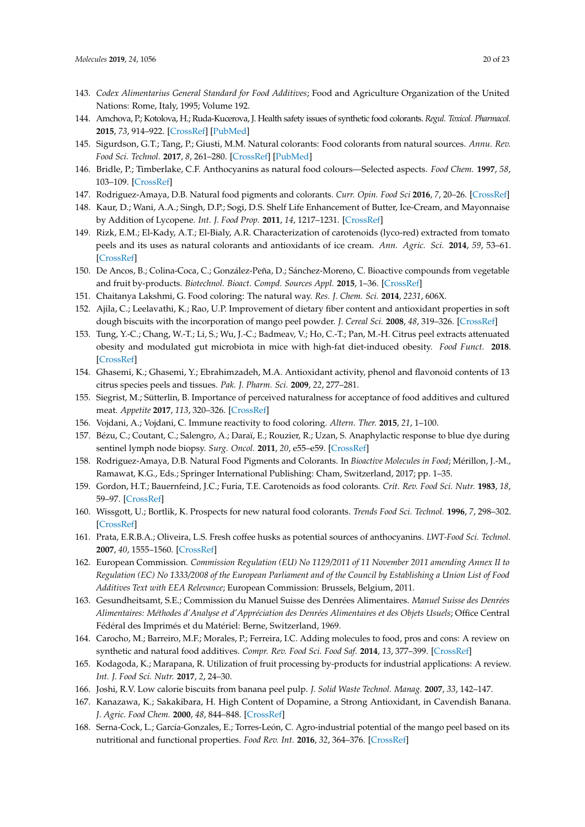- <span id="page-19-0"></span>143. *Codex Alimentarius General Standard for Food Additives*; Food and Agriculture Organization of the United Nations: Rome, Italy, 1995; Volume 192.
- <span id="page-19-1"></span>144. Amchova, P.; Kotolova, H.; Ruda-Kucerova, J. Health safety issues of synthetic food colorants. *Regul. Toxicol. Pharmacol.* **2015**, *73*, 914–922. [\[CrossRef\]](http://dx.doi.org/10.1016/j.yrtph.2015.09.026) [\[PubMed\]](http://www.ncbi.nlm.nih.gov/pubmed/26404013)
- <span id="page-19-2"></span>145. Sigurdson, G.T.; Tang, P.; Giusti, M.M. Natural colorants: Food colorants from natural sources. *Annu. Rev. Food Sci. Technol.* **2017**, *8*, 261–280. [\[CrossRef\]](http://dx.doi.org/10.1146/annurev-food-030216-025923) [\[PubMed\]](http://www.ncbi.nlm.nih.gov/pubmed/28125346)
- <span id="page-19-3"></span>146. Bridle, P.; Timberlake, C.F. Anthocyanins as natural food colours—Selected aspects. *Food Chem.* **1997**, *58*, 103–109. [\[CrossRef\]](http://dx.doi.org/10.1016/S0308-8146(96)00222-1)
- <span id="page-19-4"></span>147. Rodriguez-Amaya, D.B. Natural food pigments and colorants. *Curr. Opin. Food Sci* **2016**, *7*, 20–26. [\[CrossRef\]](http://dx.doi.org/10.1016/j.cofs.2015.08.004)
- <span id="page-19-5"></span>148. Kaur, D.; Wani, A.A.; Singh, D.P.; Sogi, D.S. Shelf Life Enhancement of Butter, Ice-Cream, and Mayonnaise by Addition of Lycopene. *Int. J. Food Prop.* **2011**, *14*, 1217–1231. [\[CrossRef\]](http://dx.doi.org/10.1080/10942911003637335)
- <span id="page-19-6"></span>149. Rizk, E.M.; El-Kady, A.T.; El-Bialy, A.R. Characterization of carotenoids (lyco-red) extracted from tomato peels and its uses as natural colorants and antioxidants of ice cream. *Ann. Agric. Sci.* **2014**, *59*, 53–61. [\[CrossRef\]](http://dx.doi.org/10.1016/j.aoas.2014.06.008)
- <span id="page-19-7"></span>150. De Ancos, B.; Colina-Coca, C.; González-Peña, D.; Sánchez-Moreno, C. Bioactive compounds from vegetable and fruit by-products. *Biotechnol. Bioact. Compd. Sources Appl.* **2015**, 1–36. [\[CrossRef\]](http://dx.doi.org/10.1002/9781118733103.ch1)
- <span id="page-19-8"></span>151. Chaitanya Lakshmi, G. Food coloring: The natural way. *Res. J. Chem. Sci.* **2014**, *2231*, 606X.
- <span id="page-19-9"></span>152. Ajila, C.; Leelavathi, K.; Rao, U.P. Improvement of dietary fiber content and antioxidant properties in soft dough biscuits with the incorporation of mango peel powder. *J. Cereal Sci.* **2008**, *48*, 319–326. [\[CrossRef\]](http://dx.doi.org/10.1016/j.jcs.2007.10.001)
- 153. Tung, Y.-C.; Chang, W.-T.; Li, S.; Wu, J.-C.; Badmeav, V.; Ho, C.-T.; Pan, M.-H. Citrus peel extracts attenuated obesity and modulated gut microbiota in mice with high-fat diet-induced obesity. *Food Funct.* **2018**. [\[CrossRef\]](http://dx.doi.org/10.1039/C7FO02066J)
- <span id="page-19-10"></span>154. Ghasemi, K.; Ghasemi, Y.; Ebrahimzadeh, M.A. Antioxidant activity, phenol and flavonoid contents of 13 citrus species peels and tissues. *Pak. J. Pharm. Sci.* **2009**, *22*, 277–281.
- <span id="page-19-11"></span>155. Siegrist, M.; Sütterlin, B. Importance of perceived naturalness for acceptance of food additives and cultured meat. *Appetite* **2017**, *113*, 320–326. [\[CrossRef\]](http://dx.doi.org/10.1016/j.appet.2017.03.019)
- <span id="page-19-12"></span>156. Vojdani, A.; Vojdani, C. Immune reactivity to food coloring. *Altern. Ther.* **2015**, *21*, 1–100.
- <span id="page-19-13"></span>157. Bézu, C.; Coutant, C.; Salengro, A.; Daraï, E.; Rouzier, R.; Uzan, S. Anaphylactic response to blue dye during sentinel lymph node biopsy. *Surg. Oncol.* **2011**, *20*, e55–e59. [\[CrossRef\]](http://dx.doi.org/10.1016/j.suronc.2010.10.002)
- <span id="page-19-14"></span>158. Rodriguez-Amaya, D.B. Natural Food Pigments and Colorants. In *Bioactive Molecules in Food*; Mérillon, J.-M., Ramawat, K.G., Eds.; Springer International Publishing: Cham, Switzerland, 2017; pp. 1–35.
- 159. Gordon, H.T.; Bauernfeind, J.C.; Furia, T.E. Carotenoids as food colorants. *Crit. Rev. Food Sci. Nutr.* **1983**, *18*, 59–97. [\[CrossRef\]](http://dx.doi.org/10.1080/10408398209527357)
- <span id="page-19-15"></span>160. Wissgott, U.; Bortlik, K. Prospects for new natural food colorants. *Trends Food Sci. Technol.* **1996**, *7*, 298–302. [\[CrossRef\]](http://dx.doi.org/10.1016/0924-2244(96)20007-X)
- <span id="page-19-16"></span>161. Prata, E.R.B.A.; Oliveira, L.S. Fresh coffee husks as potential sources of anthocyanins. *LWT-Food Sci. Technol.* **2007**, *40*, 1555–1560. [\[CrossRef\]](http://dx.doi.org/10.1016/j.lwt.2006.10.003)
- <span id="page-19-17"></span>162. European Commission. *Commission Regulation (EU) No 1129/2011 of 11 November 2011 amending Annex II to Regulation (EC) No 1333/2008 of the European Parliament and of the Council by Establishing a Union List of Food Additives Text with EEA Relevance*; European Commission: Brussels, Belgium, 2011.
- <span id="page-19-18"></span>163. Gesundheitsamt, S.E.; Commission du Manuel Suisse des Denrées Alimentaires. *Manuel Suisse des Denrées Alimentaires: Méthodes d'Analyse et d'Appréciation des Denrées Alimentaires et des Objets Usuels*; Office Central Fédéral des Imprimés et du Matériel: Berne, Switzerland, 1969.
- <span id="page-19-19"></span>164. Carocho, M.; Barreiro, M.F.; Morales, P.; Ferreira, I.C. Adding molecules to food, pros and cons: A review on synthetic and natural food additives. *Compr. Rev. Food Sci. Food Saf.* **2014**, *13*, 377–399. [\[CrossRef\]](http://dx.doi.org/10.1111/1541-4337.12065)
- <span id="page-19-22"></span>165. Kodagoda, K.; Marapana, R. Utilization of fruit processing by-products for industrial applications: A review. *Int. J. Food Sci. Nutr.* **2017**, *2*, 24–30.
- <span id="page-19-20"></span>166. Joshi, R.V. Low calorie biscuits from banana peel pulp. *J. Solid Waste Technol. Manag.* **2007**, *33*, 142–147.
- <span id="page-19-21"></span>167. Kanazawa, K.; Sakakibara, H. High Content of Dopamine, a Strong Antioxidant, in Cavendish Banana. *J. Agric. Food Chem.* **2000**, *48*, 844–848. [\[CrossRef\]](http://dx.doi.org/10.1021/jf9909860)
- <span id="page-19-23"></span>168. Serna-Cock, L.; García-Gonzales, E.; Torres-León, C. Agro-industrial potential of the mango peel based on its nutritional and functional properties. *Food Rev. Int.* **2016**, *32*, 364–376. [\[CrossRef\]](http://dx.doi.org/10.1080/87559129.2015.1094815)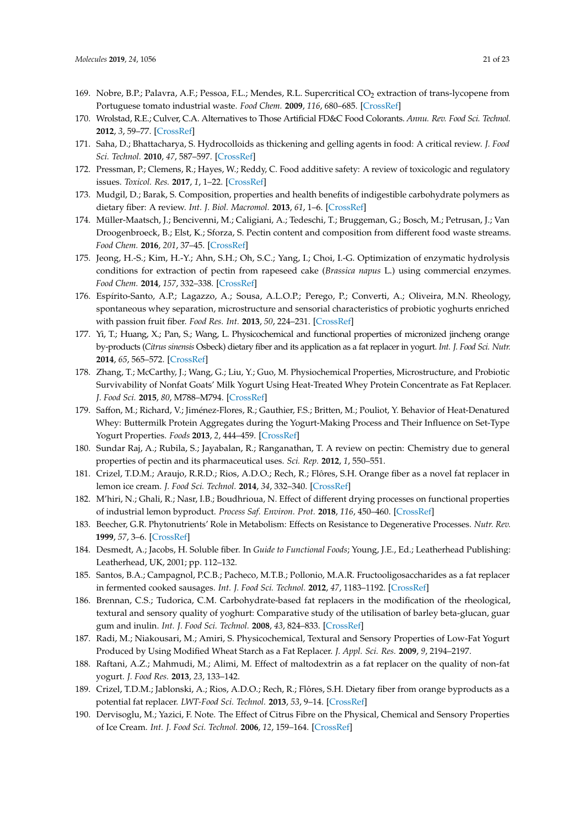- <span id="page-20-0"></span>169. Nobre, B.P.; Palavra, A.F.; Pessoa, F.L.; Mendes, R.L. Supercritical CO<sub>2</sub> extraction of trans-lycopene from Portuguese tomato industrial waste. *Food Chem.* **2009**, *116*, 680–685. [\[CrossRef\]](http://dx.doi.org/10.1016/j.foodchem.2009.03.011)
- <span id="page-20-1"></span>170. Wrolstad, R.E.; Culver, C.A. Alternatives to Those Artificial FD&C Food Colorants. *Annu. Rev. Food Sci. Technol.* **2012**, *3*, 59–77. [\[CrossRef\]](http://dx.doi.org/10.1146/annurev-food-022811-101118)
- <span id="page-20-2"></span>171. Saha, D.; Bhattacharya, S. Hydrocolloids as thickening and gelling agents in food: A critical review. *J. Food Sci. Technol.* **2010**, *47*, 587–597. [\[CrossRef\]](http://dx.doi.org/10.1007/s13197-010-0162-6)
- <span id="page-20-3"></span>172. Pressman, P.; Clemens, R.; Hayes, W.; Reddy, C. Food additive safety: A review of toxicologic and regulatory issues. *Toxicol. Res.* **2017**, *1*, 1–22. [\[CrossRef\]](http://dx.doi.org/10.1177/2397847317723572)
- <span id="page-20-4"></span>173. Mudgil, D.; Barak, S. Composition, properties and health benefits of indigestible carbohydrate polymers as dietary fiber: A review. *Int. J. Biol. Macromol.* **2013**, *61*, 1–6. [\[CrossRef\]](http://dx.doi.org/10.1016/j.ijbiomac.2013.06.044)
- <span id="page-20-5"></span>174. Müller-Maatsch, J.; Bencivenni, M.; Caligiani, A.; Tedeschi, T.; Bruggeman, G.; Bosch, M.; Petrusan, J.; Van Droogenbroeck, B.; Elst, K.; Sforza, S. Pectin content and composition from different food waste streams. *Food Chem.* **2016**, *201*, 37–45. [\[CrossRef\]](http://dx.doi.org/10.1016/j.foodchem.2016.01.012)
- <span id="page-20-6"></span>175. Jeong, H.-S.; Kim, H.-Y.; Ahn, S.H.; Oh, S.C.; Yang, I.; Choi, I.-G. Optimization of enzymatic hydrolysis conditions for extraction of pectin from rapeseed cake (*Brassica napus* L.) using commercial enzymes. *Food Chem.* **2014**, *157*, 332–338. [\[CrossRef\]](http://dx.doi.org/10.1016/j.foodchem.2014.02.040)
- <span id="page-20-7"></span>176. Espírito-Santo, A.P.; Lagazzo, A.; Sousa, A.L.O.P.; Perego, P.; Converti, A.; Oliveira, M.N. Rheology, spontaneous whey separation, microstructure and sensorial characteristics of probiotic yoghurts enriched with passion fruit fiber. *Food Res. Int.* **2013**, *50*, 224–231. [\[CrossRef\]](http://dx.doi.org/10.1016/j.foodres.2012.09.012)
- <span id="page-20-8"></span>177. Yi, T.; Huang, X.; Pan, S.; Wang, L. Physicochemical and functional properties of micronized jincheng orange by-products (*Citrus sinensis* Osbeck) dietary fiber and its application as a fat replacer in yogurt. *Int. J. Food Sci. Nutr.* **2014**, *65*, 565–572. [\[CrossRef\]](http://dx.doi.org/10.3109/09637486.2014.898252)
- <span id="page-20-9"></span>178. Zhang, T.; McCarthy, J.; Wang, G.; Liu, Y.; Guo, M. Physiochemical Properties, Microstructure, and Probiotic Survivability of Nonfat Goats' Milk Yogurt Using Heat-Treated Whey Protein Concentrate as Fat Replacer. *J. Food Sci.* **2015**, *80*, M788–M794. [\[CrossRef\]](http://dx.doi.org/10.1111/1750-3841.12834)
- <span id="page-20-10"></span>179. Saffon, M.; Richard, V.; Jiménez-Flores, R.; Gauthier, F.S.; Britten, M.; Pouliot, Y. Behavior of Heat-Denatured Whey: Buttermilk Protein Aggregates during the Yogurt-Making Process and Their Influence on Set-Type Yogurt Properties. *Foods* **2013**, *2*, 444–459. [\[CrossRef\]](http://dx.doi.org/10.3390/foods2040444)
- <span id="page-20-11"></span>180. Sundar Raj, A.; Rubila, S.; Jayabalan, R.; Ranganathan, T. A review on pectin: Chemistry due to general properties of pectin and its pharmaceutical uses. *Sci. Rep.* **2012**, *1*, 550–551.
- <span id="page-20-12"></span>181. Crizel, T.D.M.; Araujo, R.R.D.; Rios, A.D.O.; Rech, R.; Flôres, S.H. Orange fiber as a novel fat replacer in lemon ice cream. *J. Food Sci. Technol.* **2014**, *34*, 332–340. [\[CrossRef\]](http://dx.doi.org/10.1590/fst.2014.0057)
- <span id="page-20-13"></span>182. M'hiri, N.; Ghali, R.; Nasr, I.B.; Boudhrioua, N. Effect of different drying processes on functional properties of industrial lemon byproduct. *Process Saf. Environ. Prot.* **2018**, *116*, 450–460. [\[CrossRef\]](http://dx.doi.org/10.1016/j.psep.2018.03.004)
- 183. Beecher, G.R. Phytonutrients' Role in Metabolism: Effects on Resistance to Degenerative Processes. *Nutr. Rev.* **1999**, *57*, 3–6. [\[CrossRef\]](http://dx.doi.org/10.1111/j.1753-4887.1999.tb01800.x)
- 184. Desmedt, A.; Jacobs, H. Soluble fiber. In *Guide to Functional Foods*; Young, J.E., Ed.; Leatherhead Publishing: Leatherhead, UK, 2001; pp. 112–132.
- <span id="page-20-14"></span>185. Santos, B.A.; Campagnol, P.C.B.; Pacheco, M.T.B.; Pollonio, M.A.R. Fructooligosaccharides as a fat replacer in fermented cooked sausages. *Int. J. Food Sci. Technol.* **2012**, *47*, 1183–1192. [\[CrossRef\]](http://dx.doi.org/10.1111/j.1365-2621.2012.02958.x)
- <span id="page-20-15"></span>186. Brennan, C.S.; Tudorica, C.M. Carbohydrate-based fat replacers in the modification of the rheological, textural and sensory quality of yoghurt: Comparative study of the utilisation of barley beta-glucan, guar gum and inulin. *Int. J. Food Sci. Technol.* **2008**, *43*, 824–833. [\[CrossRef\]](http://dx.doi.org/10.1111/j.1365-2621.2007.01522.x)
- 187. Radi, M.; Niakousari, M.; Amiri, S. Physicochemical, Textural and Sensory Properties of Low-Fat Yogurt Produced by Using Modified Wheat Starch as a Fat Replacer. *J. Appl. Sci. Res.* **2009**, *9*, 2194–2197.
- <span id="page-20-16"></span>188. Raftani, A.Z.; Mahmudi, M.; Alimi, M. Effect of maltodextrin as a fat replacer on the quality of non-fat yogurt. *J. Food Res.* **2013**, *23*, 133–142.
- <span id="page-20-17"></span>189. Crizel, T.D.M.; Jablonski, A.; Rios, A.D.O.; Rech, R.; Flôres, S.H. Dietary fiber from orange byproducts as a potential fat replacer. *LWT-Food Sci. Technol.* **2013**, *53*, 9–14. [\[CrossRef\]](http://dx.doi.org/10.1016/j.lwt.2013.02.002)
- <span id="page-20-18"></span>190. Dervisoglu, M.; Yazici, F. Note. The Effect of Citrus Fibre on the Physical, Chemical and Sensory Properties of Ice Cream. *Int. J. Food Sci. Technol.* **2006**, *12*, 159–164. [\[CrossRef\]](http://dx.doi.org/10.1177/1082013206064005)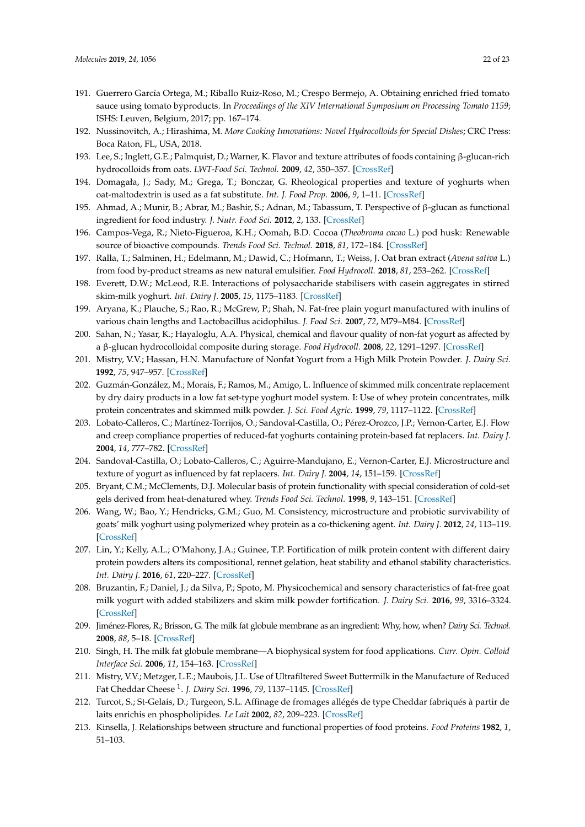- <span id="page-21-0"></span>191. Guerrero García Ortega, M.; Riballo Ruiz-Roso, M.; Crespo Bermejo, A. Obtaining enriched fried tomato sauce using tomato byproducts. In *Proceedings of the XIV International Symposium on Processing Tomato 1159*; ISHS: Leuven, Belgium, 2017; pp. 167–174.
- <span id="page-21-1"></span>192. Nussinovitch, A.; Hirashima, M. *More Cooking Innovations: Novel Hydrocolloids for Special Dishes*; CRC Press: Boca Raton, FL, USA, 2018.
- 193. Lee, S.; Inglett, G.E.; Palmquist, D.; Warner, K. Flavor and texture attributes of foods containing β-glucan-rich hydrocolloids from oats. *LWT-Food Sci. Technol.* **2009**, *42*, 350–357. [\[CrossRef\]](http://dx.doi.org/10.1016/j.lwt.2008.04.004)
- <span id="page-21-2"></span>194. Domagała, J.; Sady, M.; Grega, T.; Bonczar, G. Rheological properties and texture of yoghurts when oat-maltodextrin is used as a fat substitute. *Int. J. Food Prop.* **2006**, *9*, 1–11. [\[CrossRef\]](http://dx.doi.org/10.1080/10942910600588776)
- <span id="page-21-3"></span>195. Ahmad, A.; Munir, B.; Abrar, M.; Bashir, S.; Adnan, M.; Tabassum, T. Perspective of β-glucan as functional ingredient for food industry. *J. Nutr. Food Sci.* **2012**, *2*, 133. [\[CrossRef\]](http://dx.doi.org/10.4172/2155-9600.1000133)
- <span id="page-21-4"></span>196. Campos-Vega, R.; Nieto-Figueroa, K.H.; Oomah, B.D. Cocoa (*Theobroma cacao* L.) pod husk: Renewable source of bioactive compounds. *Trends Food Sci. Technol.* **2018**, *81*, 172–184. [\[CrossRef\]](http://dx.doi.org/10.1016/j.tifs.2018.09.022)
- <span id="page-21-5"></span>197. Ralla, T.; Salminen, H.; Edelmann, M.; Dawid, C.; Hofmann, T.; Weiss, J. Oat bran extract (*Avena sativa* L.) from food by-product streams as new natural emulsifier. *Food Hydrocoll.* **2018**, *81*, 253–262. [\[CrossRef\]](http://dx.doi.org/10.1016/j.foodhyd.2018.02.035)
- <span id="page-21-6"></span>198. Everett, D.W.; McLeod, R.E. Interactions of polysaccharide stabilisers with casein aggregates in stirred skim-milk yoghurt. *Int. Dairy J.* **2005**, *15*, 1175–1183. [\[CrossRef\]](http://dx.doi.org/10.1016/j.idairyj.2004.12.004)
- <span id="page-21-7"></span>199. Aryana, K.; Plauche, S.; Rao, R.; McGrew, P.; Shah, N. Fat-free plain yogurt manufactured with inulins of various chain lengths and Lactobacillus acidophilus. *J. Food Sci.* **2007**, *72*, M79–M84. [\[CrossRef\]](http://dx.doi.org/10.1111/j.1750-3841.2007.00302.x)
- 200. Sahan, N.; Yasar, K.; Hayaloglu, A.A. Physical, chemical and flavour quality of non-fat yogurt as affected by a β-glucan hydrocolloidal composite during storage. *Food Hydrocoll.* **2008**, *22*, 1291–1297. [\[CrossRef\]](http://dx.doi.org/10.1016/j.foodhyd.2007.06.010)
- 201. Mistry, V.V.; Hassan, H.N. Manufacture of Nonfat Yogurt from a High Milk Protein Powder. *J. Dairy Sci.* **1992**, *75*, 947–957. [\[CrossRef\]](http://dx.doi.org/10.3168/jds.S0022-0302(92)77835-7)
- 202. Guzmán-González, M.; Morais, F.; Ramos, M.; Amigo, L. Influence of skimmed milk concentrate replacement by dry dairy products in a low fat set-type yoghurt model system. I: Use of whey protein concentrates, milk protein concentrates and skimmed milk powder. *J. Sci. Food Agric.* **1999**, *79*, 1117–1122. [\[CrossRef\]](http://dx.doi.org/10.1002/(SICI)1097-0010(199906)79:8<1117::AID-JSFA335>3.0.CO;2-F)
- 203. Lobato-Calleros, C.; Martínez-Torrijos, O.; Sandoval-Castilla, O.; Pérez-Orozco, J.P.; Vernon-Carter, E.J. Flow and creep compliance properties of reduced-fat yoghurts containing protein-based fat replacers. *Int. Dairy J.* **2004**, *14*, 777–782. [\[CrossRef\]](http://dx.doi.org/10.1016/j.idairyj.2004.02.012)
- <span id="page-21-8"></span>204. Sandoval-Castilla, O.; Lobato-Calleros, C.; Aguirre-Mandujano, E.; Vernon-Carter, E.J. Microstructure and texture of yogurt as influenced by fat replacers. *Int. Dairy J.* **2004**, *14*, 151–159. [\[CrossRef\]](http://dx.doi.org/10.1016/S0958-6946(03)00166-3)
- <span id="page-21-9"></span>205. Bryant, C.M.; McClements, D.J. Molecular basis of protein functionality with special consideration of cold-set gels derived from heat-denatured whey. *Trends Food Sci. Technol.* **1998**, *9*, 143–151. [\[CrossRef\]](http://dx.doi.org/10.1016/S0924-2244(98)00031-4)
- <span id="page-21-10"></span>206. Wang, W.; Bao, Y.; Hendricks, G.M.; Guo, M. Consistency, microstructure and probiotic survivability of goats' milk yoghurt using polymerized whey protein as a co-thickening agent. *Int. Dairy J.* **2012**, *24*, 113–119. [\[CrossRef\]](http://dx.doi.org/10.1016/j.idairyj.2011.09.007)
- 207. Lin, Y.; Kelly, A.L.; O'Mahony, J.A.; Guinee, T.P. Fortification of milk protein content with different dairy protein powders alters its compositional, rennet gelation, heat stability and ethanol stability characteristics. *Int. Dairy J.* **2016**, *61*, 220–227. [\[CrossRef\]](http://dx.doi.org/10.1016/j.idairyj.2016.06.010)
- <span id="page-21-11"></span>208. Bruzantin, F.; Daniel, J.; da Silva, P.; Spoto, M. Physicochemical and sensory characteristics of fat-free goat milk yogurt with added stabilizers and skim milk powder fortification. *J. Dairy Sci.* **2016**, *99*, 3316–3324. [\[CrossRef\]](http://dx.doi.org/10.3168/jds.2015-10327)
- <span id="page-21-12"></span>209. Jiménez-Flores, R.; Brisson, G. The milk fat globule membrane as an ingredient: Why, how, when? *Dairy Sci. Technol.* **2008**, *88*, 5–18. [\[CrossRef\]](http://dx.doi.org/10.1051/dst:2007005)
- <span id="page-21-13"></span>210. Singh, H. The milk fat globule membrane—A biophysical system for food applications. *Curr. Opin. Colloid Interface Sci.* **2006**, *11*, 154–163. [\[CrossRef\]](http://dx.doi.org/10.1016/j.cocis.2005.11.002)
- <span id="page-21-14"></span>211. Mistry, V.V.; Metzger, L.E.; Maubois, J.L. Use of Ultrafiltered Sweet Buttermilk in the Manufacture of Reduced Fat Cheddar Cheese <sup>1</sup> . *J. Dairy Sci.* **1996**, *79*, 1137–1145. [\[CrossRef\]](http://dx.doi.org/10.3168/jds.S0022-0302(96)76467-6)
- <span id="page-21-15"></span>212. Turcot, S.; St-Gelais, D.; Turgeon, S.L. Affinage de fromages allégés de type Cheddar fabriqués à partir de laits enrichis en phospholipides. *Le Lait* **2002**, *82*, 209–223. [\[CrossRef\]](http://dx.doi.org/10.1051/lait:2002005)
- <span id="page-21-16"></span>213. Kinsella, J. Relationships between structure and functional properties of food proteins. *Food Proteins* **1982**, *1*, 51–103.